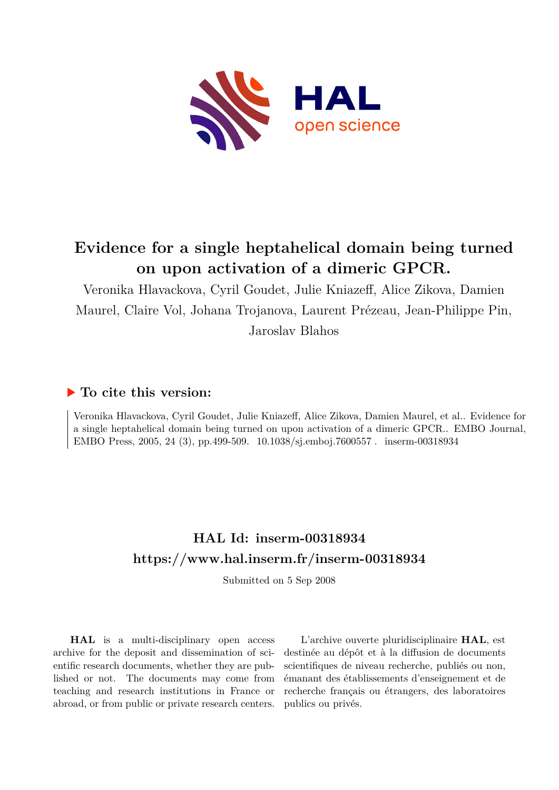

## **Evidence for a single heptahelical domain being turned on upon activation of a dimeric GPCR.**

Veronika Hlavackova, Cyril Goudet, Julie Kniazeff, Alice Zikova, Damien Maurel, Claire Vol, Johana Trojanova, Laurent Prézeau, Jean-Philippe Pin, Jaroslav Blahos

### **To cite this version:**

Veronika Hlavackova, Cyril Goudet, Julie Kniazeff, Alice Zikova, Damien Maurel, et al.. Evidence for a single heptahelical domain being turned on upon activation of a dimeric GPCR.. EMBO Journal, EMBO Press, 2005, 24 (3), pp.499-509. 10.1038/sj.emboj.7600557. inserm-00318934

## **HAL Id: inserm-00318934 <https://www.hal.inserm.fr/inserm-00318934>**

Submitted on 5 Sep 2008

**HAL** is a multi-disciplinary open access archive for the deposit and dissemination of scientific research documents, whether they are published or not. The documents may come from teaching and research institutions in France or abroad, or from public or private research centers.

L'archive ouverte pluridisciplinaire **HAL**, est destinée au dépôt et à la diffusion de documents scientifiques de niveau recherche, publiés ou non, émanant des établissements d'enseignement et de recherche français ou étrangers, des laboratoires publics ou privés.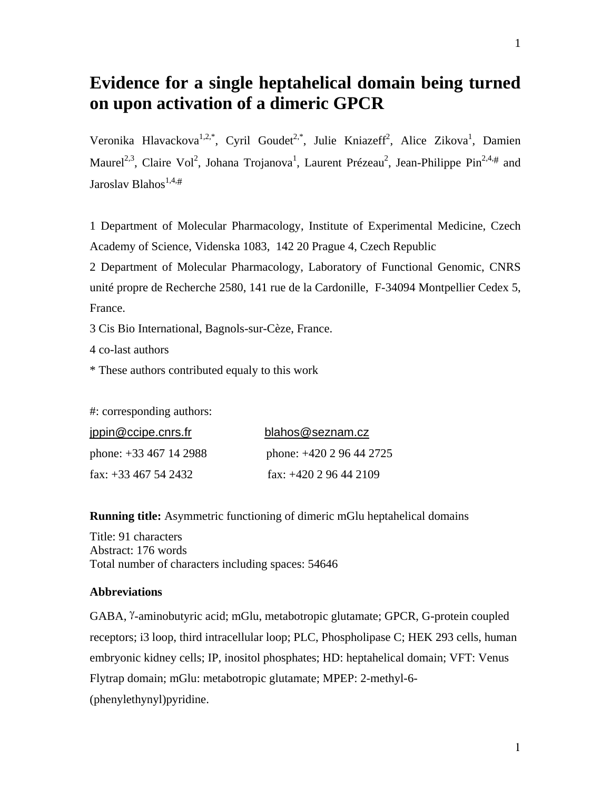## **Evidence for a single heptahelical domain being turned on upon activation of a dimeric GPCR**

Veronika Hlavackova<sup>1,2,\*</sup>, Cyril Goudet<sup>2,\*</sup>, Julie Kniazeff<sup>2</sup>, Alice Zikova<sup>1</sup>, Damien Maurel<sup>2,3</sup>, Claire Vol<sup>2</sup>, Johana Trojanova<sup>1</sup>, Laurent Prézeau<sup>2</sup>, Jean-Philippe Pin<sup>2,4,#</sup> and Jaroslav Blahos<sup>1,4,#</sup>

1 Department of Molecular Pharmacology, Institute of Experimental Medicine, Czech Academy of Science, Videnska 1083, 142 20 Prague 4, Czech Republic

2 Department of Molecular Pharmacology, Laboratory of Functional Genomic, CNRS unité propre de Recherche 2580, 141 rue de la Cardonille, F-34094 Montpellier Cedex 5, France.

3 Cis Bio International, Bagnols-sur-Cèze, France.

4 co-last authors

\* These authors contributed equaly to this work

#: corresponding authors:

| jppin@ccipe.cnrs.fr         | blahos@seznam.cz           |
|-----------------------------|----------------------------|
| phone: $+33\,467\,14\,2988$ | phone: $+420$ 2 96 44 2725 |
| fax: $+33$ 467 54 2432      | fax: $+420$ 2 96 44 2109   |

**Running title:** Asymmetric functioning of dimeric mGlu heptahelical domains

Title: 91 characters Abstract: 176 words Total number of characters including spaces: 54646

#### **Abbreviations**

GABA, <sup>γ</sup>-aminobutyric acid; mGlu, metabotropic glutamate; GPCR, G-protein coupled receptors; i3 loop, third intracellular loop; PLC, Phospholipase C; HEK 293 cells, human embryonic kidney cells; IP, inositol phosphates; HD: heptahelical domain; VFT: Venus Flytrap domain; mGlu: metabotropic glutamate; MPEP: 2-methyl-6- (phenylethynyl)pyridine.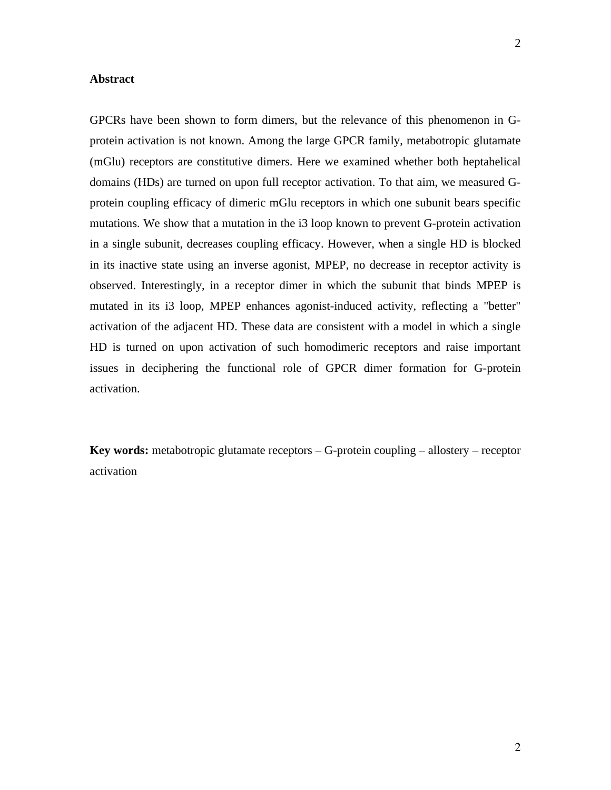#### **Abstract**

GPCRs have been shown to form dimers, but the relevance of this phenomenon in Gprotein activation is not known. Among the large GPCR family, metabotropic glutamate (mGlu) receptors are constitutive dimers. Here we examined whether both heptahelical domains (HDs) are turned on upon full receptor activation. To that aim, we measured Gprotein coupling efficacy of dimeric mGlu receptors in which one subunit bears specific mutations. We show that a mutation in the i3 loop known to prevent G-protein activation in a single subunit, decreases coupling efficacy. However, when a single HD is blocked in its inactive state using an inverse agonist, MPEP, no decrease in receptor activity is observed. Interestingly, in a receptor dimer in which the subunit that binds MPEP is mutated in its i3 loop, MPEP enhances agonist-induced activity, reflecting a "better" activation of the adjacent HD. These data are consistent with a model in which a single HD is turned on upon activation of such homodimeric receptors and raise important issues in deciphering the functional role of GPCR dimer formation for G-protein activation.

**Key words:** metabotropic glutamate receptors – G-protein coupling – allostery – receptor activation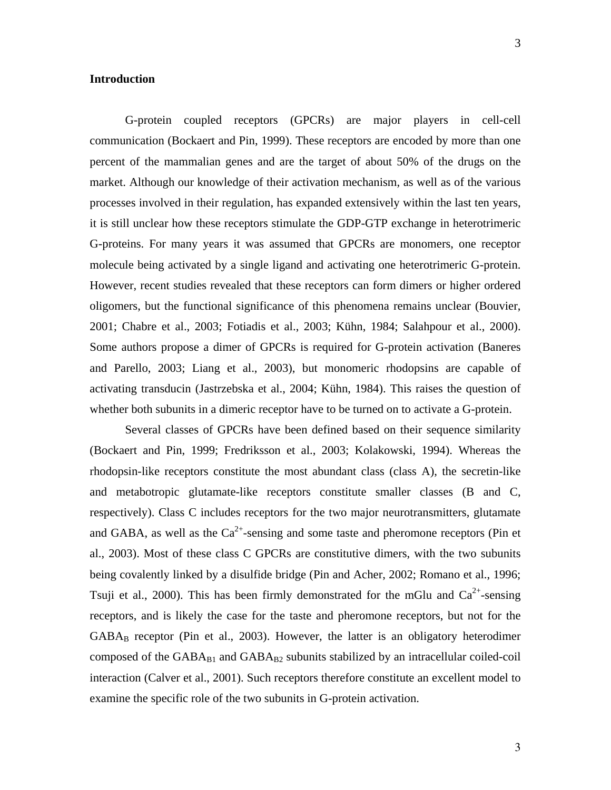#### **Introduction**

G-protein coupled receptors (GPCRs) are major players in cell-cell communication (Bockaert and Pin, 1999). These receptors are encoded by more than one percent of the mammalian genes and are the target of about 50% of the drugs on the market. Although our knowledge of their activation mechanism, as well as of the various processes involved in their regulation, has expanded extensively within the last ten years, it is still unclear how these receptors stimulate the GDP-GTP exchange in heterotrimeric G-proteins. For many years it was assumed that GPCRs are monomers, one receptor molecule being activated by a single ligand and activating one heterotrimeric G-protein. However, recent studies revealed that these receptors can form dimers or higher ordered oligomers, but the functional significance of this phenomena remains unclear (Bouvier, 2001; Chabre et al., 2003; Fotiadis et al., 2003; Kühn, 1984; Salahpour et al., 2000). Some authors propose a dimer of GPCRs is required for G-protein activation (Baneres and Parello, 2003; Liang et al., 2003), but monomeric rhodopsins are capable of activating transducin (Jastrzebska et al., 2004; Kühn, 1984). This raises the question of whether both subunits in a dimeric receptor have to be turned on to activate a G-protein.

 Several classes of GPCRs have been defined based on their sequence similarity (Bockaert and Pin, 1999; Fredriksson et al., 2003; Kolakowski, 1994). Whereas the rhodopsin-like receptors constitute the most abundant class (class A), the secretin-like and metabotropic glutamate-like receptors constitute smaller classes (B and C, respectively). Class C includes receptors for the two major neurotransmitters, glutamate and GABA, as well as the  $Ca^{2+}$ -sensing and some taste and pheromone receptors (Pin et al., 2003). Most of these class C GPCRs are constitutive dimers, with the two subunits being covalently linked by a disulfide bridge (Pin and Acher, 2002; Romano et al., 1996; Tsuji et al., 2000). This has been firmly demonstrated for the mGlu and  $Ca^{2+}$ -sensing receptors, and is likely the case for the taste and pheromone receptors, but not for the GABAB receptor (Pin et al., 2003). However, the latter is an obligatory heterodimer composed of the  $GABA_{B1}$  and  $GABA_{B2}$  subunits stabilized by an intracellular coiled-coil interaction (Calver et al., 2001). Such receptors therefore constitute an excellent model to examine the specific role of the two subunits in G-protein activation.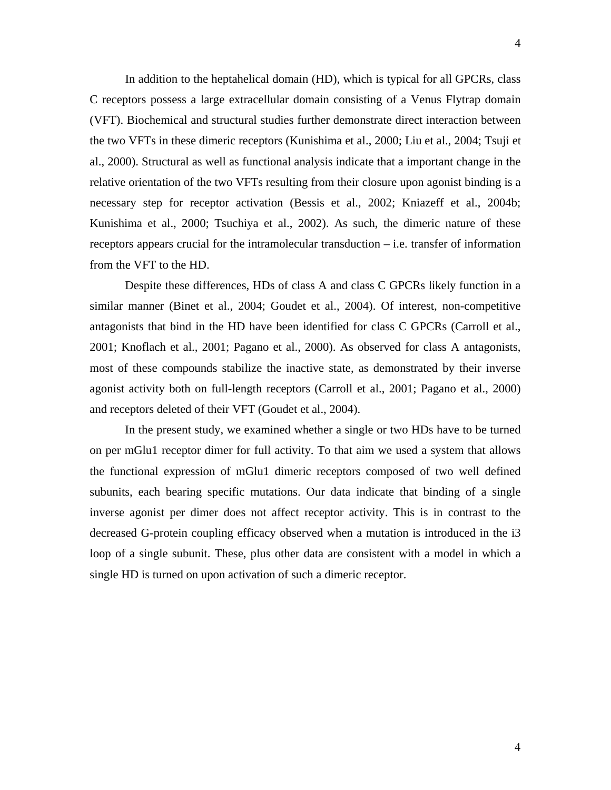In addition to the heptahelical domain (HD), which is typical for all GPCRs, class C receptors possess a large extracellular domain consisting of a Venus Flytrap domain (VFT). Biochemical and structural studies further demonstrate direct interaction between the two VFTs in these dimeric receptors (Kunishima et al., 2000; Liu et al., 2004; Tsuji et al., 2000). Structural as well as functional analysis indicate that a important change in the relative orientation of the two VFTs resulting from their closure upon agonist binding is a necessary step for receptor activation (Bessis et al., 2002; Kniazeff et al., 2004b; Kunishima et al., 2000; Tsuchiya et al., 2002). As such, the dimeric nature of these receptors appears crucial for the intramolecular transduction – i.e. transfer of information from the VFT to the HD.

 Despite these differences, HDs of class A and class C GPCRs likely function in a similar manner (Binet et al., 2004; Goudet et al., 2004). Of interest, non-competitive antagonists that bind in the HD have been identified for class C GPCRs (Carroll et al., 2001; Knoflach et al., 2001; Pagano et al., 2000). As observed for class A antagonists, most of these compounds stabilize the inactive state, as demonstrated by their inverse agonist activity both on full-length receptors (Carroll et al., 2001; Pagano et al., 2000) and receptors deleted of their VFT (Goudet et al., 2004).

In the present study, we examined whether a single or two HDs have to be turned on per mGlu1 receptor dimer for full activity. To that aim we used a system that allows the functional expression of mGlu1 dimeric receptors composed of two well defined subunits, each bearing specific mutations. Our data indicate that binding of a single inverse agonist per dimer does not affect receptor activity. This is in contrast to the decreased G-protein coupling efficacy observed when a mutation is introduced in the i3 loop of a single subunit. These, plus other data are consistent with a model in which a single HD is turned on upon activation of such a dimeric receptor.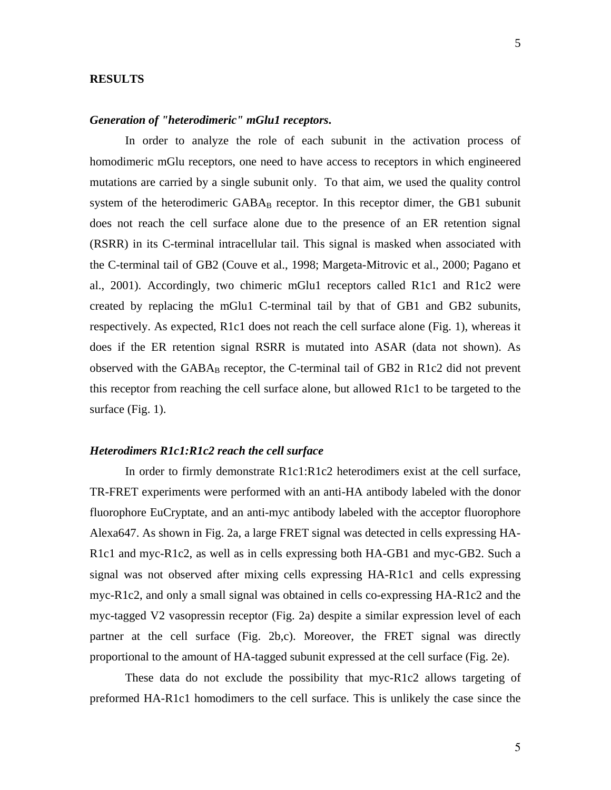#### **RESULTS**

#### *Generation of "heterodimeric" mGlu1 receptors***.**

In order to analyze the role of each subunit in the activation process of homodimeric mGlu receptors, one need to have access to receptors in which engineered mutations are carried by a single subunit only. To that aim, we used the quality control system of the heterodimeric  $GABA_B$  receptor. In this receptor dimer, the GB1 subunit does not reach the cell surface alone due to the presence of an ER retention signal (RSRR) in its C-terminal intracellular tail. This signal is masked when associated with the C-terminal tail of GB2 (Couve et al., 1998; Margeta-Mitrovic et al., 2000; Pagano et al., 2001). Accordingly, two chimeric mGlu1 receptors called R1c1 and R1c2 were created by replacing the mGlu1 C-terminal tail by that of GB1 and GB2 subunits, respectively. As expected, R1c1 does not reach the cell surface alone (Fig. 1), whereas it does if the ER retention signal RSRR is mutated into ASAR (data not shown). As observed with the  $GABA_B$  receptor, the C-terminal tail of  $GB2$  in R1c2 did not prevent this receptor from reaching the cell surface alone, but allowed R1c1 to be targeted to the surface (Fig. 1).

#### *Heterodimers R1c1:R1c2 reach the cell surface*

 In order to firmly demonstrate R1c1:R1c2 heterodimers exist at the cell surface, TR-FRET experiments were performed with an anti-HA antibody labeled with the donor fluorophore EuCryptate, and an anti-myc antibody labeled with the acceptor fluorophore Alexa647. As shown in Fig. 2a, a large FRET signal was detected in cells expressing HA-R1c1 and myc-R1c2, as well as in cells expressing both HA-GB1 and myc-GB2. Such a signal was not observed after mixing cells expressing HA-R1c1 and cells expressing myc-R1c2, and only a small signal was obtained in cells co-expressing HA-R1c2 and the myc-tagged V2 vasopressin receptor (Fig. 2a) despite a similar expression level of each partner at the cell surface (Fig. 2b,c). Moreover, the FRET signal was directly proportional to the amount of HA-tagged subunit expressed at the cell surface (Fig. 2e).

These data do not exclude the possibility that myc-R1c2 allows targeting of preformed HA-R1c1 homodimers to the cell surface. This is unlikely the case since the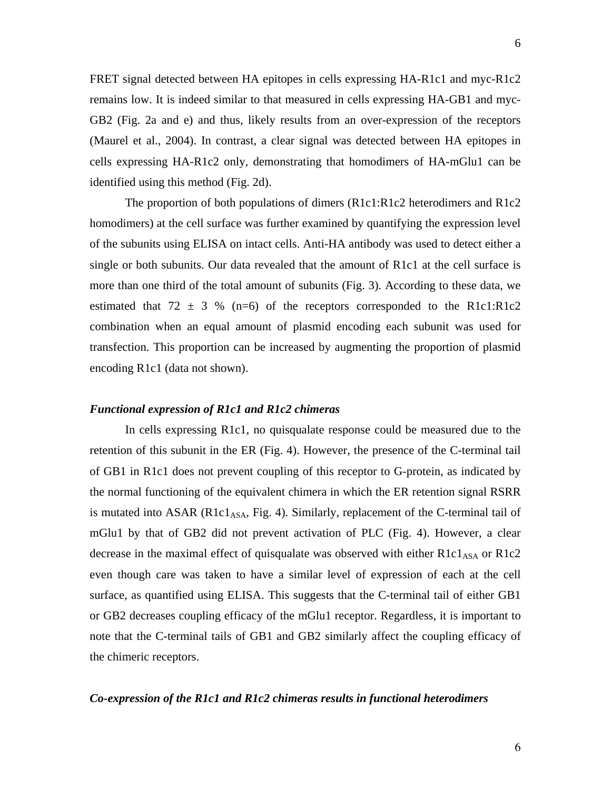FRET signal detected between HA epitopes in cells expressing HA-R1c1 and myc-R1c2 remains low. It is indeed similar to that measured in cells expressing HA-GB1 and myc-GB2 (Fig. 2a and e) and thus, likely results from an over-expression of the receptors (Maurel et al., 2004). In contrast, a clear signal was detected between HA epitopes in cells expressing HA-R1c2 only, demonstrating that homodimers of HA-mGlu1 can be identified using this method (Fig. 2d).

The proportion of both populations of dimers (R1c1:R1c2 heterodimers and R1c2 homodimers) at the cell surface was further examined by quantifying the expression level of the subunits using ELISA on intact cells. Anti-HA antibody was used to detect either a single or both subunits. Our data revealed that the amount of R1c1 at the cell surface is more than one third of the total amount of subunits (Fig. 3). According to these data, we estimated that  $72 \pm 3$  % (n=6) of the receptors corresponded to the R1c1:R1c2 combination when an equal amount of plasmid encoding each subunit was used for transfection. This proportion can be increased by augmenting the proportion of plasmid encoding R1c1 (data not shown).

#### *Functional expression of R1c1 and R1c2 chimeras*

 In cells expressing R1c1, no quisqualate response could be measured due to the retention of this subunit in the ER (Fig. 4). However, the presence of the C-terminal tail of GB1 in R1c1 does not prevent coupling of this receptor to G-protein, as indicated by the normal functioning of the equivalent chimera in which the ER retention signal RSRR is mutated into  $ASAR$  ( $R1c1<sub>ASA</sub>$ , Fig. 4). Similarly, replacement of the C-terminal tail of mGlu1 by that of GB2 did not prevent activation of PLC (Fig. 4). However, a clear decrease in the maximal effect of quisqualate was observed with either  $R1c1<sub>ASA</sub>$  or  $R1c2$ even though care was taken to have a similar level of expression of each at the cell surface, as quantified using ELISA. This suggests that the C-terminal tail of either GB1 or GB2 decreases coupling efficacy of the mGlu1 receptor. Regardless, it is important to note that the C-terminal tails of GB1 and GB2 similarly affect the coupling efficacy of the chimeric receptors.

#### *Co-expression of the R1c1 and R1c2 chimeras results in functional heterodimers*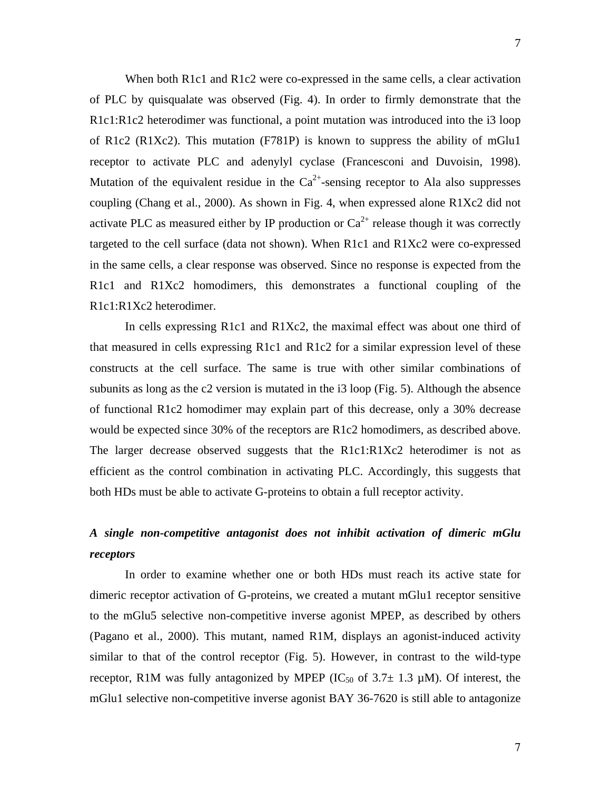When both R1c1 and R1c2 were co-expressed in the same cells, a clear activation of PLC by quisqualate was observed (Fig. 4). In order to firmly demonstrate that the R1c1:R1c2 heterodimer was functional, a point mutation was introduced into the i3 loop of R1c2 (R1Xc2). This mutation (F781P) is known to suppress the ability of mGlu1 receptor to activate PLC and adenylyl cyclase (Francesconi and Duvoisin, 1998). Mutation of the equivalent residue in the  $Ca^{2+}$ -sensing receptor to Ala also suppresses coupling (Chang et al., 2000). As shown in Fig. 4, when expressed alone R1Xc2 did not activate PLC as measured either by IP production or  $Ca^{2+}$  release though it was correctly targeted to the cell surface (data not shown). When R1c1 and R1Xc2 were co-expressed in the same cells, a clear response was observed. Since no response is expected from the R1c1 and R1Xc2 homodimers, this demonstrates a functional coupling of the R1c1:R1Xc2 heterodimer.

In cells expressing R1c1 and R1Xc2, the maximal effect was about one third of that measured in cells expressing R1c1 and R1c2 for a similar expression level of these constructs at the cell surface. The same is true with other similar combinations of subunits as long as the c2 version is mutated in the i3 loop (Fig. 5). Although the absence of functional R1c2 homodimer may explain part of this decrease, only a 30% decrease would be expected since 30% of the receptors are R1c2 homodimers, as described above. The larger decrease observed suggests that the R1c1:R1Xc2 heterodimer is not as efficient as the control combination in activating PLC. Accordingly, this suggests that both HDs must be able to activate G-proteins to obtain a full receptor activity.

## *A single non-competitive antagonist does not inhibit activation of dimeric mGlu receptors*

 In order to examine whether one or both HDs must reach its active state for dimeric receptor activation of G-proteins, we created a mutant mGlu1 receptor sensitive to the mGlu5 selective non-competitive inverse agonist MPEP, as described by others (Pagano et al., 2000). This mutant, named R1M, displays an agonist-induced activity similar to that of the control receptor (Fig. 5). However, in contrast to the wild-type receptor, R1M was fully antagonized by MPEP ( $IC_{50}$  of 3.7 $\pm$  1.3  $\mu$ M). Of interest, the mGlu1 selective non-competitive inverse agonist BAY 36-7620 is still able to antagonize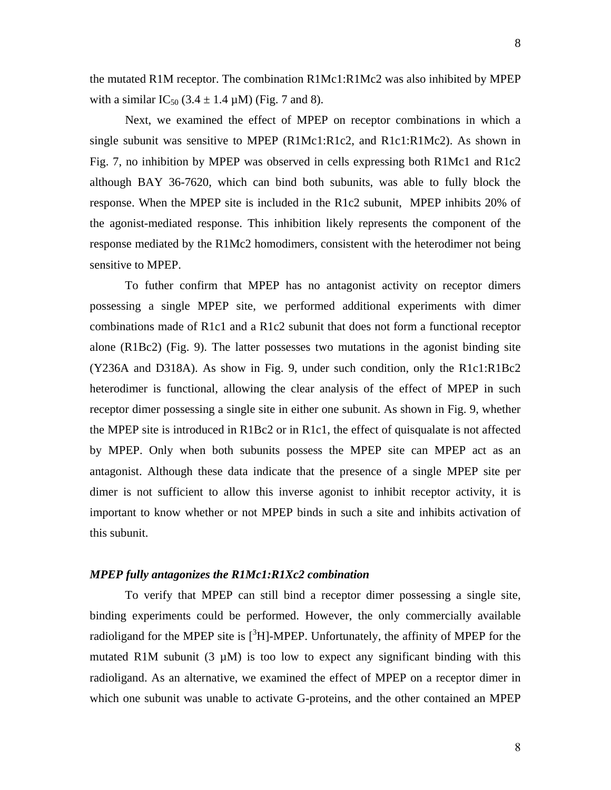the mutated R1M receptor. The combination R1Mc1:R1Mc2 was also inhibited by MPEP with a similar  $IC_{50}$  (3.4  $\pm$  1.4  $\mu$ M) (Fig. 7 and 8).

 Next, we examined the effect of MPEP on receptor combinations in which a single subunit was sensitive to MPEP (R1Mc1:R1c2, and R1c1:R1Mc2). As shown in Fig. 7, no inhibition by MPEP was observed in cells expressing both R1Mc1 and R1c2 although BAY 36-7620, which can bind both subunits, was able to fully block the response. When the MPEP site is included in the R1c2 subunit, MPEP inhibits 20% of the agonist-mediated response. This inhibition likely represents the component of the response mediated by the R1Mc2 homodimers, consistent with the heterodimer not being sensitive to MPEP.

To futher confirm that MPEP has no antagonist activity on receptor dimers possessing a single MPEP site, we performed additional experiments with dimer combinations made of R1c1 and a R1c2 subunit that does not form a functional receptor alone (R1Bc2) (Fig. 9). The latter possesses two mutations in the agonist binding site (Y236A and D318A). As show in Fig. 9, under such condition, only the R1c1:R1Bc2 heterodimer is functional, allowing the clear analysis of the effect of MPEP in such receptor dimer possessing a single site in either one subunit. As shown in Fig. 9, whether the MPEP site is introduced in R1Bc2 or in R1c1, the effect of quisqualate is not affected by MPEP. Only when both subunits possess the MPEP site can MPEP act as an antagonist. Although these data indicate that the presence of a single MPEP site per dimer is not sufficient to allow this inverse agonist to inhibit receptor activity, it is important to know whether or not MPEP binds in such a site and inhibits activation of this subunit.

#### *MPEP fully antagonizes the R1Mc1:R1Xc2 combination*

To verify that MPEP can still bind a receptor dimer possessing a single site, binding experiments could be performed. However, the only commercially available radioligand for the MPEP site is  $[{}^{3}H]$ -MPEP. Unfortunately, the affinity of MPEP for the mutated R1M subunit  $(3 \mu M)$  is too low to expect any significant binding with this radioligand. As an alternative, we examined the effect of MPEP on a receptor dimer in which one subunit was unable to activate G-proteins, and the other contained an MPEP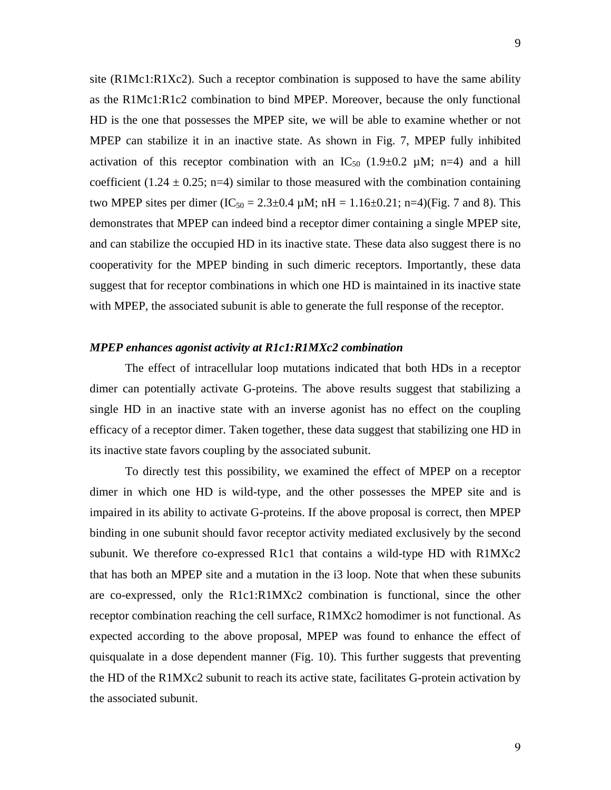site (R1Mc1:R1Xc2). Such a receptor combination is supposed to have the same ability as the R1Mc1:R1c2 combination to bind MPEP. Moreover, because the only functional HD is the one that possesses the MPEP site, we will be able to examine whether or not MPEP can stabilize it in an inactive state. As shown in Fig. 7, MPEP fully inhibited activation of this receptor combination with an  $IC_{50}$  (1.9 $\pm$ 0.2  $\mu$ M; n=4) and a hill coefficient (1.24  $\pm$  0.25; n=4) similar to those measured with the combination containing two MPEP sites per dimer (IC<sub>50</sub> = 2.3±0.4  $\mu$ M; nH = 1.16±0.21; n=4)(Fig. 7 and 8). This demonstrates that MPEP can indeed bind a receptor dimer containing a single MPEP site, and can stabilize the occupied HD in its inactive state. These data also suggest there is no cooperativity for the MPEP binding in such dimeric receptors. Importantly, these data suggest that for receptor combinations in which one HD is maintained in its inactive state with MPEP, the associated subunit is able to generate the full response of the receptor.

#### *MPEP enhances agonist activity at R1c1:R1MXc2 combination*

The effect of intracellular loop mutations indicated that both HDs in a receptor dimer can potentially activate G-proteins. The above results suggest that stabilizing a single HD in an inactive state with an inverse agonist has no effect on the coupling efficacy of a receptor dimer. Taken together, these data suggest that stabilizing one HD in its inactive state favors coupling by the associated subunit.

To directly test this possibility, we examined the effect of MPEP on a receptor dimer in which one HD is wild-type, and the other possesses the MPEP site and is impaired in its ability to activate G-proteins. If the above proposal is correct, then MPEP binding in one subunit should favor receptor activity mediated exclusively by the second subunit. We therefore co-expressed R1c1 that contains a wild-type HD with R1MXc2 that has both an MPEP site and a mutation in the i3 loop. Note that when these subunits are co-expressed, only the R1c1:R1MXc2 combination is functional, since the other receptor combination reaching the cell surface, R1MXc2 homodimer is not functional. As expected according to the above proposal, MPEP was found to enhance the effect of quisqualate in a dose dependent manner (Fig. 10). This further suggests that preventing the HD of the R1MXc2 subunit to reach its active state, facilitates G-protein activation by the associated subunit.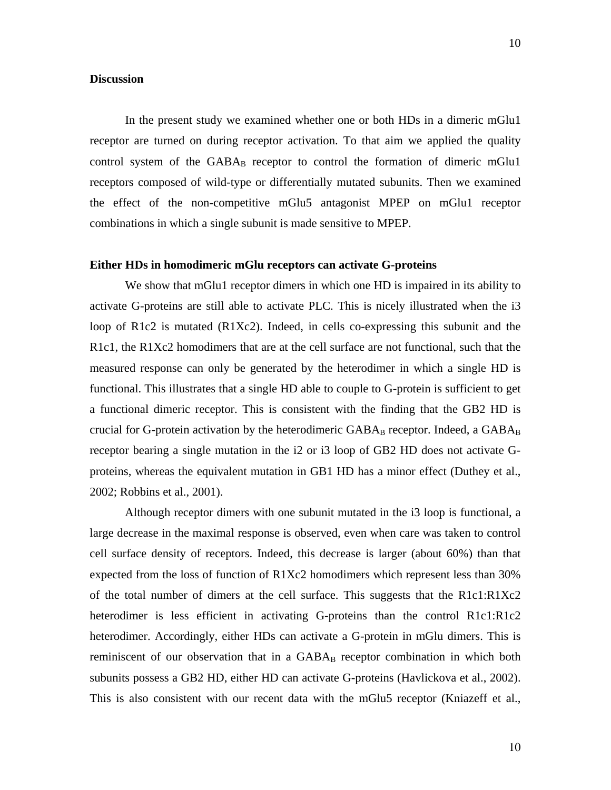#### **Discussion**

In the present study we examined whether one or both HDs in a dimeric mGlu1 receptor are turned on during receptor activation. To that aim we applied the quality control system of the  $GABA_B$  receptor to control the formation of dimeric mGlu1 receptors composed of wild-type or differentially mutated subunits. Then we examined the effect of the non-competitive mGlu5 antagonist MPEP on mGlu1 receptor combinations in which a single subunit is made sensitive to MPEP.

#### **Either HDs in homodimeric mGlu receptors can activate G-proteins**

We show that mGlu1 receptor dimers in which one HD is impaired in its ability to activate G-proteins are still able to activate PLC. This is nicely illustrated when the i3 loop of R1c2 is mutated (R1Xc2). Indeed, in cells co-expressing this subunit and the R1c1, the R1Xc2 homodimers that are at the cell surface are not functional, such that the measured response can only be generated by the heterodimer in which a single HD is functional. This illustrates that a single HD able to couple to G-protein is sufficient to get a functional dimeric receptor. This is consistent with the finding that the GB2 HD is crucial for G-protein activation by the heterodimeric  $GABA_B$  receptor. Indeed, a  $GABA_B$ receptor bearing a single mutation in the i2 or i3 loop of GB2 HD does not activate Gproteins, whereas the equivalent mutation in GB1 HD has a minor effect (Duthey et al., 2002; Robbins et al., 2001).

Although receptor dimers with one subunit mutated in the i3 loop is functional, a large decrease in the maximal response is observed, even when care was taken to control cell surface density of receptors. Indeed, this decrease is larger (about 60%) than that expected from the loss of function of R1Xc2 homodimers which represent less than 30% of the total number of dimers at the cell surface. This suggests that the R1c1:R1Xc2 heterodimer is less efficient in activating G-proteins than the control R1c1:R1c2 heterodimer. Accordingly, either HDs can activate a G-protein in mGlu dimers. This is reminiscent of our observation that in a  $GABA_B$  receptor combination in which both subunits possess a GB2 HD, either HD can activate G-proteins (Havlickova et al., 2002). This is also consistent with our recent data with the mGlu5 receptor (Kniazeff et al.,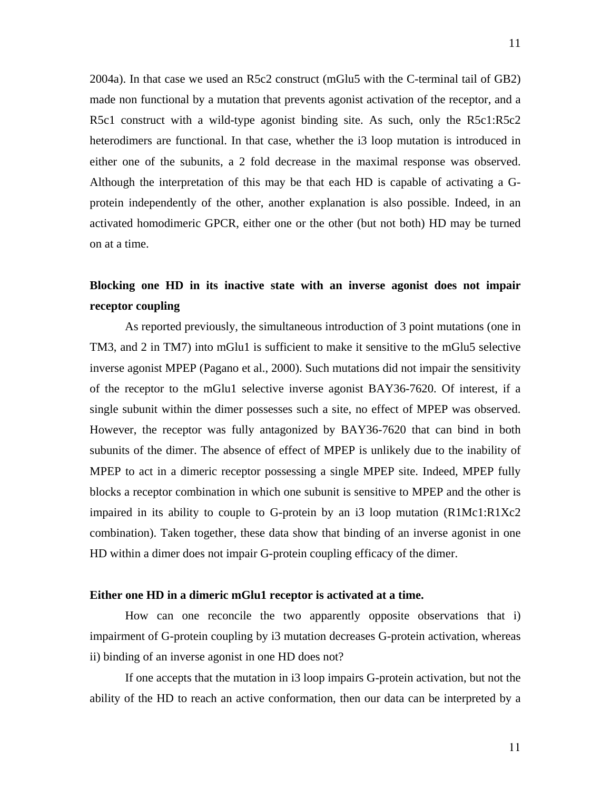2004a). In that case we used an R5c2 construct (mGlu5 with the C-terminal tail of GB2) made non functional by a mutation that prevents agonist activation of the receptor, and a R5c1 construct with a wild-type agonist binding site. As such, only the R5c1:R5c2 heterodimers are functional. In that case, whether the i3 loop mutation is introduced in either one of the subunits, a 2 fold decrease in the maximal response was observed. Although the interpretation of this may be that each HD is capable of activating a Gprotein independently of the other, another explanation is also possible. Indeed, in an activated homodimeric GPCR, either one or the other (but not both) HD may be turned on at a time.

## **Blocking one HD in its inactive state with an inverse agonist does not impair receptor coupling**

As reported previously, the simultaneous introduction of 3 point mutations (one in TM3, and 2 in TM7) into mGlu1 is sufficient to make it sensitive to the mGlu5 selective inverse agonist MPEP (Pagano et al., 2000). Such mutations did not impair the sensitivity of the receptor to the mGlu1 selective inverse agonist BAY36-7620. Of interest, if a single subunit within the dimer possesses such a site, no effect of MPEP was observed. However, the receptor was fully antagonized by BAY36-7620 that can bind in both subunits of the dimer. The absence of effect of MPEP is unlikely due to the inability of MPEP to act in a dimeric receptor possessing a single MPEP site. Indeed, MPEP fully blocks a receptor combination in which one subunit is sensitive to MPEP and the other is impaired in its ability to couple to G-protein by an i3 loop mutation (R1Mc1:R1Xc2 combination). Taken together, these data show that binding of an inverse agonist in one HD within a dimer does not impair G-protein coupling efficacy of the dimer.

#### **Either one HD in a dimeric mGlu1 receptor is activated at a time.**

How can one reconcile the two apparently opposite observations that i) impairment of G-protein coupling by i3 mutation decreases G-protein activation, whereas ii) binding of an inverse agonist in one HD does not?

If one accepts that the mutation in i3 loop impairs G-protein activation, but not the ability of the HD to reach an active conformation, then our data can be interpreted by a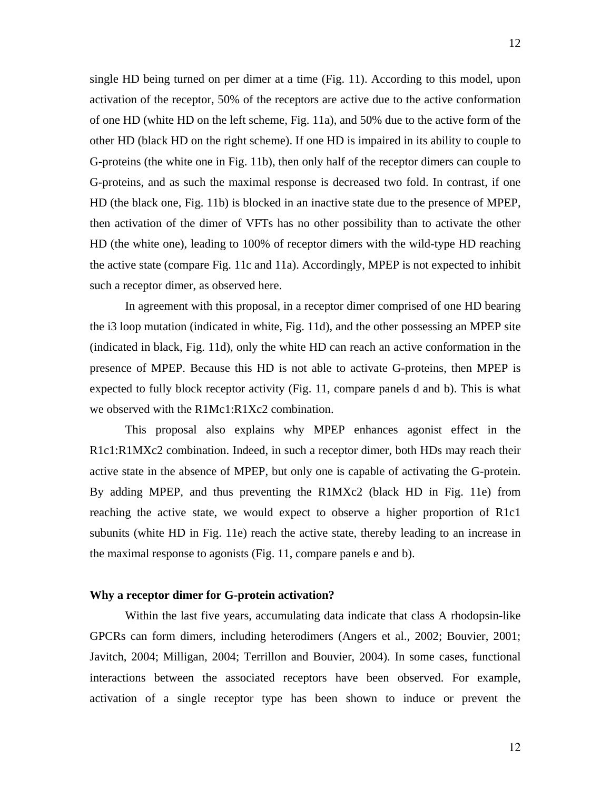single HD being turned on per dimer at a time (Fig. 11). According to this model, upon activation of the receptor, 50% of the receptors are active due to the active conformation of one HD (white HD on the left scheme, Fig. 11a), and 50% due to the active form of the other HD (black HD on the right scheme). If one HD is impaired in its ability to couple to G-proteins (the white one in Fig. 11b), then only half of the receptor dimers can couple to G-proteins, and as such the maximal response is decreased two fold. In contrast, if one HD (the black one, Fig. 11b) is blocked in an inactive state due to the presence of MPEP, then activation of the dimer of VFTs has no other possibility than to activate the other HD (the white one), leading to 100% of receptor dimers with the wild-type HD reaching the active state (compare Fig. 11c and 11a). Accordingly, MPEP is not expected to inhibit such a receptor dimer, as observed here.

In agreement with this proposal, in a receptor dimer comprised of one HD bearing the i3 loop mutation (indicated in white, Fig. 11d), and the other possessing an MPEP site (indicated in black, Fig. 11d), only the white HD can reach an active conformation in the presence of MPEP. Because this HD is not able to activate G-proteins, then MPEP is expected to fully block receptor activity (Fig. 11, compare panels d and b). This is what we observed with the R1Mc1:R1Xc2 combination.

This proposal also explains why MPEP enhances agonist effect in the R1c1:R1MXc2 combination. Indeed, in such a receptor dimer, both HDs may reach their active state in the absence of MPEP, but only one is capable of activating the G-protein. By adding MPEP, and thus preventing the R1MXc2 (black HD in Fig. 11e) from reaching the active state, we would expect to observe a higher proportion of R1c1 subunits (white HD in Fig. 11e) reach the active state, thereby leading to an increase in the maximal response to agonists (Fig. 11, compare panels e and b).

#### **Why a receptor dimer for G-protein activation?**

 Within the last five years, accumulating data indicate that class A rhodopsin-like GPCRs can form dimers, including heterodimers (Angers et al., 2002; Bouvier, 2001; Javitch, 2004; Milligan, 2004; Terrillon and Bouvier, 2004). In some cases, functional interactions between the associated receptors have been observed. For example, activation of a single receptor type has been shown to induce or prevent the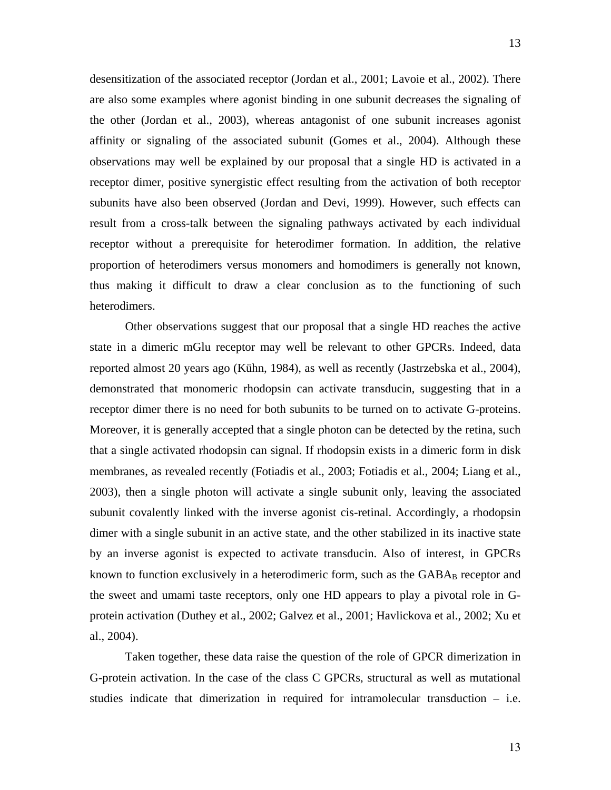desensitization of the associated receptor (Jordan et al., 2001; Lavoie et al., 2002). There are also some examples where agonist binding in one subunit decreases the signaling of the other (Jordan et al., 2003), whereas antagonist of one subunit increases agonist affinity or signaling of the associated subunit (Gomes et al., 2004). Although these observations may well be explained by our proposal that a single HD is activated in a receptor dimer, positive synergistic effect resulting from the activation of both receptor subunits have also been observed (Jordan and Devi, 1999). However, such effects can result from a cross-talk between the signaling pathways activated by each individual receptor without a prerequisite for heterodimer formation. In addition, the relative proportion of heterodimers versus monomers and homodimers is generally not known, thus making it difficult to draw a clear conclusion as to the functioning of such heterodimers.

Other observations suggest that our proposal that a single HD reaches the active state in a dimeric mGlu receptor may well be relevant to other GPCRs. Indeed, data reported almost 20 years ago (Kühn, 1984), as well as recently (Jastrzebska et al., 2004), demonstrated that monomeric rhodopsin can activate transducin, suggesting that in a receptor dimer there is no need for both subunits to be turned on to activate G-proteins. Moreover, it is generally accepted that a single photon can be detected by the retina, such that a single activated rhodopsin can signal. If rhodopsin exists in a dimeric form in disk membranes, as revealed recently (Fotiadis et al., 2003; Fotiadis et al., 2004; Liang et al., 2003), then a single photon will activate a single subunit only, leaving the associated subunit covalently linked with the inverse agonist cis-retinal. Accordingly, a rhodopsin dimer with a single subunit in an active state, and the other stabilized in its inactive state by an inverse agonist is expected to activate transducin. Also of interest, in GPCRs known to function exclusively in a heterodimeric form, such as the GABA<sub>B</sub> receptor and the sweet and umami taste receptors, only one HD appears to play a pivotal role in Gprotein activation (Duthey et al., 2002; Galvez et al., 2001; Havlickova et al., 2002; Xu et al., 2004).

Taken together, these data raise the question of the role of GPCR dimerization in G-protein activation. In the case of the class C GPCRs, structural as well as mutational studies indicate that dimerization in required for intramolecular transduction – i.e.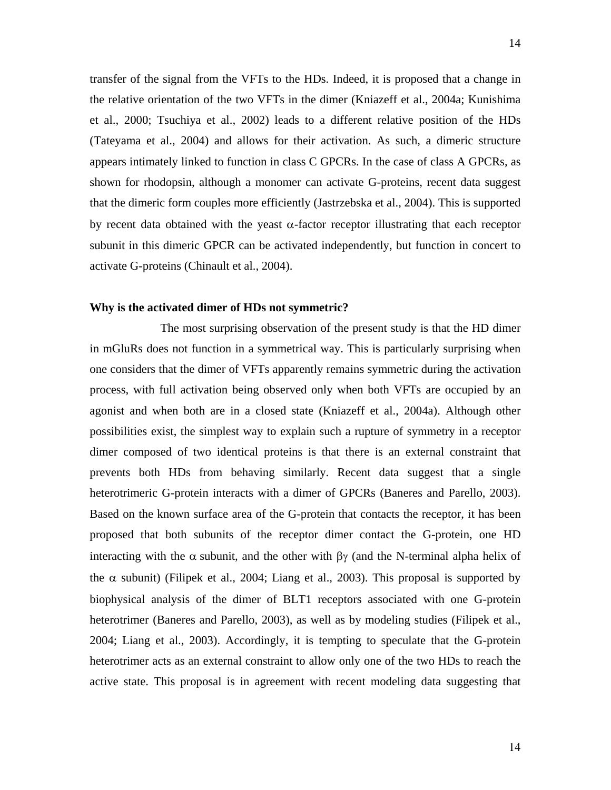transfer of the signal from the VFTs to the HDs. Indeed, it is proposed that a change in the relative orientation of the two VFTs in the dimer (Kniazeff et al., 2004a; Kunishima et al., 2000; Tsuchiya et al., 2002) leads to a different relative position of the HDs (Tateyama et al., 2004) and allows for their activation. As such, a dimeric structure appears intimately linked to function in class C GPCRs. In the case of class A GPCRs, as shown for rhodopsin, although a monomer can activate G-proteins, recent data suggest that the dimeric form couples more efficiently (Jastrzebska et al., 2004). This is supported by recent data obtained with the yeast  $\alpha$ -factor receptor illustrating that each receptor subunit in this dimeric GPCR can be activated independently, but function in concert to activate G-proteins (Chinault et al., 2004).

#### **Why is the activated dimer of HDs not symmetric?**

 The most surprising observation of the present study is that the HD dimer in mGluRs does not function in a symmetrical way. This is particularly surprising when one considers that the dimer of VFTs apparently remains symmetric during the activation process, with full activation being observed only when both VFTs are occupied by an agonist and when both are in a closed state (Kniazeff et al., 2004a). Although other possibilities exist, the simplest way to explain such a rupture of symmetry in a receptor dimer composed of two identical proteins is that there is an external constraint that prevents both HDs from behaving similarly. Recent data suggest that a single heterotrimeric G-protein interacts with a dimer of GPCRs (Baneres and Parello, 2003). Based on the known surface area of the G-protein that contacts the receptor, it has been proposed that both subunits of the receptor dimer contact the G-protein, one HD interacting with the  $\alpha$  subunit, and the other with  $\beta\gamma$  (and the N-terminal alpha helix of the  $\alpha$  subunit) (Filipek et al., 2004; Liang et al., 2003). This proposal is supported by biophysical analysis of the dimer of BLT1 receptors associated with one G-protein heterotrimer (Baneres and Parello, 2003), as well as by modeling studies (Filipek et al., 2004; Liang et al., 2003). Accordingly, it is tempting to speculate that the G-protein heterotrimer acts as an external constraint to allow only one of the two HDs to reach the active state. This proposal is in agreement with recent modeling data suggesting that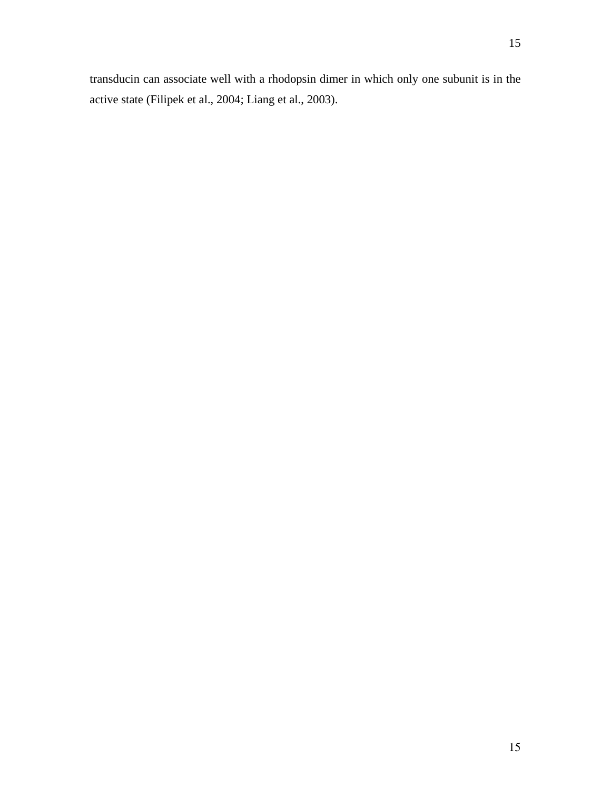transducin can associate well with a rhodopsin dimer in which only one subunit is in the active state (Filipek et al., 2004; Liang et al., 2003).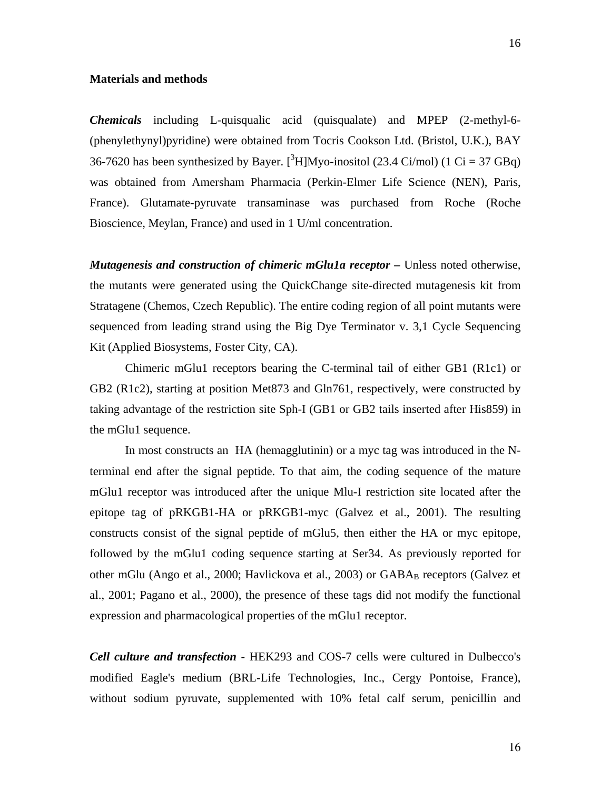#### **Materials and methods**

*Chemicals* including L-quisqualic acid (quisqualate) and MPEP (2-methyl-6- (phenylethynyl)pyridine) were obtained from Tocris Cookson Ltd. (Bristol, U.K.), BAY 36-7620 has been synthesized by Bayer.  $[{}^{3}H]$ Myo-inositol (23.4 Ci/mol) (1 Ci = 37 GBq) was obtained from Amersham Pharmacia (Perkin-Elmer Life Science (NEN), Paris, France). Glutamate-pyruvate transaminase was purchased from Roche (Roche Bioscience, Meylan, France) and used in 1 U/ml concentration.

*Mutagenesis and construction of chimeric mGlu1a receptor* **–** Unless noted otherwise, the mutants were generated using the QuickChange site-directed mutagenesis kit from Stratagene (Chemos, Czech Republic). The entire coding region of all point mutants were sequenced from leading strand using the Big Dye Terminator v. 3,1 Cycle Sequencing Kit (Applied Biosystems, Foster City, CA).

Chimeric mGlu1 receptors bearing the C-terminal tail of either GB1 (R1c1) or GB2 (R1c2), starting at position Met873 and Gln761, respectively, were constructed by taking advantage of the restriction site Sph-I (GB1 or GB2 tails inserted after His859) in the mGlu1 sequence.

In most constructs an HA (hemagglutinin) or a myc tag was introduced in the Nterminal end after the signal peptide. To that aim, the coding sequence of the mature mGlu1 receptor was introduced after the unique Mlu-I restriction site located after the epitope tag of pRKGB1-HA or pRKGB1-myc (Galvez et al., 2001). The resulting constructs consist of the signal peptide of mGlu5, then either the HA or myc epitope, followed by the mGlu1 coding sequence starting at Ser34. As previously reported for other mGlu (Ango et al., 2000; Havlickova et al., 2003) or  $GABA_B$  receptors (Galvez et al., 2001; Pagano et al., 2000), the presence of these tags did not modify the functional expression and pharmacological properties of the mGlu1 receptor.

*Cell culture and transfection* - HEK293 and COS-7 cells were cultured in Dulbecco's modified Eagle's medium (BRL-Life Technologies, Inc., Cergy Pontoise, France), without sodium pyruvate, supplemented with 10% fetal calf serum, penicillin and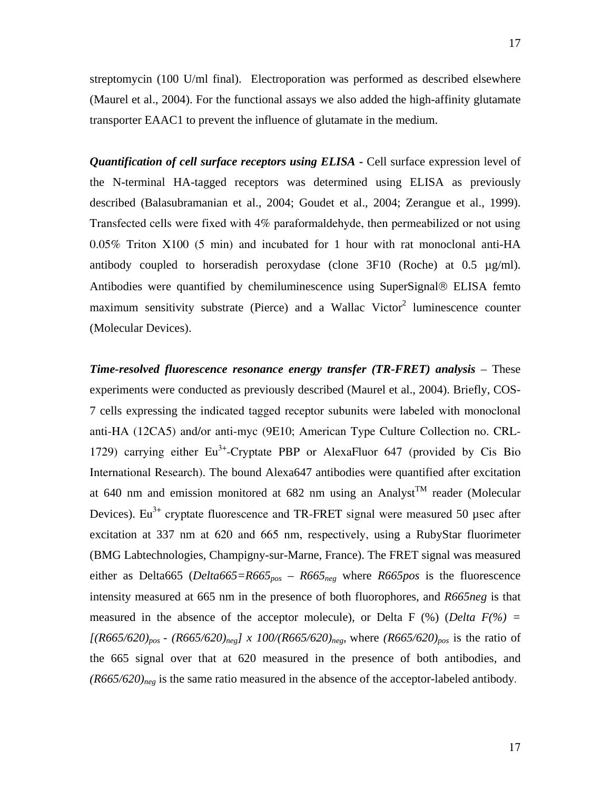streptomycin (100 U/ml final). Electroporation was performed as described elsewhere (Maurel et al., 2004). For the functional assays we also added the high-affinity glutamate transporter EAAC1 to prevent the influence of glutamate in the medium.

*Quantification of cell surface receptors using ELISA* - Cell surface expression level of the N-terminal HA-tagged receptors was determined using ELISA as previously described (Balasubramanian et al., 2004; Goudet et al., 2004; Zerangue et al., 1999). Transfected cells were fixed with 4% paraformaldehyde, then permeabilized or not using 0.05% Triton X100 (5 min) and incubated for 1 hour with rat monoclonal anti-HA antibody coupled to horseradish peroxydase (clone 3F10 (Roche) at 0.5 µg/ml). Antibodies were quantified by chemiluminescence using SuperSignal® ELISA femto maximum sensitivity substrate (Pierce) and a Wallac Victor<sup>2</sup> luminescence counter (Molecular Devices).

*Time-resolved fluorescence resonance energy transfer (TR-FRET) analysis* – These experiments were conducted as previously described (Maurel et al., 2004). Briefly, COS-7 cells expressing the indicated tagged receptor subunits were labeled with monoclonal anti-HA (12CA5) and/or anti-myc (9E10; American Type Culture Collection no. CRL-1729) carrying either  $Eu^{3+}$ -Cryptate PBP or AlexaFluor 647 (provided by Cis Bio International Research). The bound Alexa647 antibodies were quantified after excitation at 640 nm and emission monitored at 682 nm using an Analyst<sup>TM</sup> reader (Molecular Devices). Eu<sup>3+</sup> cryptate fluorescence and TR-FRET signal were measured 50 usec after excitation at 337 nm at 620 and 665 nm, respectively, using a RubyStar fluorimeter (BMG Labtechnologies, Champigny-sur-Marne, France). The FRET signal was measured either as Delta665 (*Delta665=R665<sub>pos</sub> – R665<sub>neg</sub>* where *R665pos* is the fluorescence intensity measured at 665 nm in the presence of both fluorophores, and *R665neg* is that measured in the absence of the acceptor molecule), or Delta F  $(\%)$  (*Delta F* $(\%)$  =  $[(R665/620)_{pos} - (R665/620)_{neg}]\times 100/(R665/620)_{neg}$ , where  $(R665/620)_{pos}$  is the ratio of the 665 signal over that at 620 measured in the presence of both antibodies, and *(R665/620)neg* is the same ratio measured in the absence of the acceptor-labeled antibody.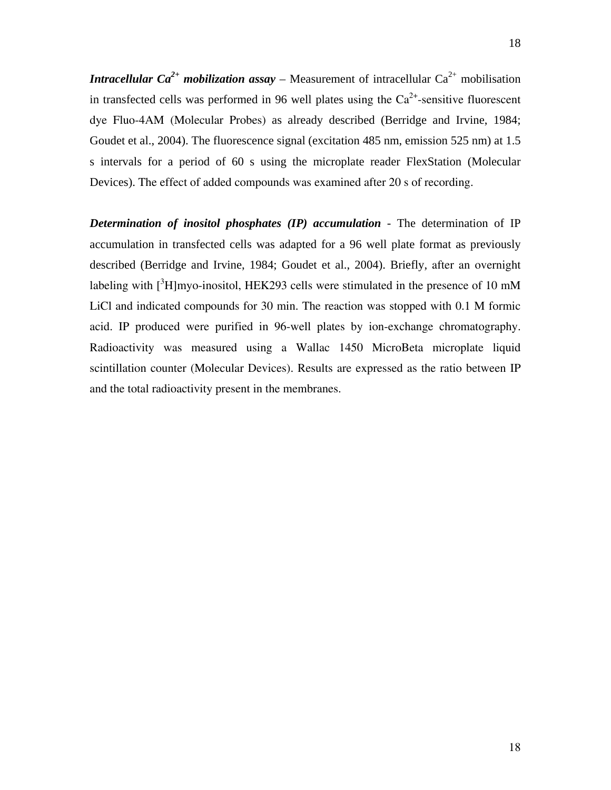*Intracellular Ca*<sup>2+</sup> *mobilization assay* – Measurement of intracellular Ca<sup>2+</sup> mobilisation in transfected cells was performed in 96 well plates using the  $Ca<sup>2+</sup>$ -sensitive fluorescent dye Fluo-4AM (Molecular Probes) as already described (Berridge and Irvine, 1984; Goudet et al., 2004). The fluorescence signal (excitation 485 nm, emission 525 nm) at 1.5 s intervals for a period of 60 s using the microplate reader FlexStation (Molecular Devices). The effect of added compounds was examined after 20 s of recording.

*Determination of inositol phosphates (IP) accumulation* - The determination of IP accumulation in transfected cells was adapted for a 96 well plate format as previously described (Berridge and Irvine, 1984; Goudet et al., 2004). Briefly, after an overnight labeling with  $[^{3}H]$ myo-inositol, HEK293 cells were stimulated in the presence of 10 mM LiCl and indicated compounds for 30 min. The reaction was stopped with 0.1 M formic acid. IP produced were purified in 96-well plates by ion-exchange chromatography. Radioactivity was measured using a Wallac 1450 MicroBeta microplate liquid scintillation counter (Molecular Devices). Results are expressed as the ratio between IP and the total radioactivity present in the membranes.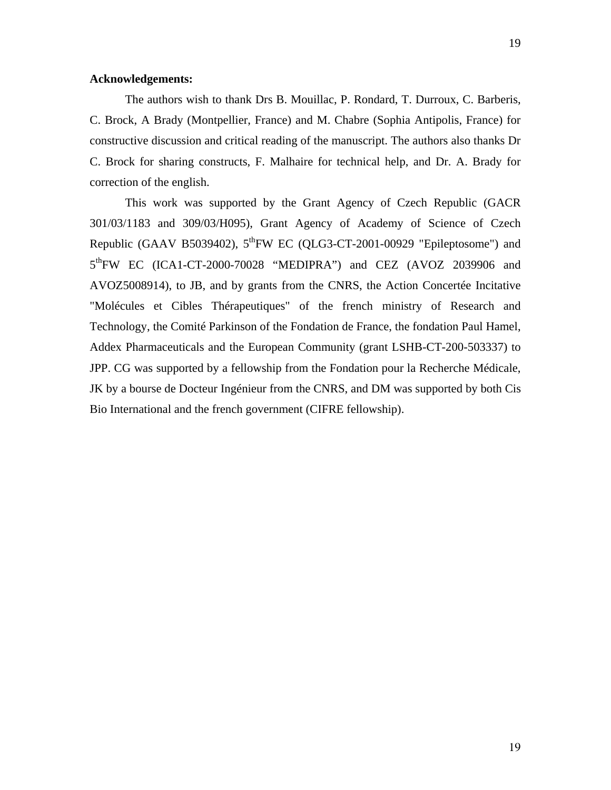#### **Acknowledgements:**

The authors wish to thank Drs B. Mouillac, P. Rondard, T. Durroux, C. Barberis, C. Brock, A Brady (Montpellier, France) and M. Chabre (Sophia Antipolis, France) for constructive discussion and critical reading of the manuscript. The authors also thanks Dr C. Brock for sharing constructs, F. Malhaire for technical help, and Dr. A. Brady for correction of the english.

This work was supported by the Grant Agency of Czech Republic (GACR 301/03/1183 and 309/03/H095), Grant Agency of Academy of Science of Czech Republic (GAAV B5039402),  $5^{th}$ FW EC (QLG3-CT-2001-00929 "Epileptosome") and 5<sup>th</sup>FW EC (ICA1-CT-2000-70028 "MEDIPRA") and CEZ (AVOZ 2039906 and AVOZ5008914), to JB, and by grants from the CNRS, the Action Concertée Incitative "Molécules et Cibles Thérapeutiques" of the french ministry of Research and Technology, the Comité Parkinson of the Fondation de France, the fondation Paul Hamel, Addex Pharmaceuticals and the European Community (grant LSHB-CT-200-503337) to JPP. CG was supported by a fellowship from the Fondation pour la Recherche Médicale, JK by a bourse de Docteur Ingénieur from the CNRS, and DM was supported by both Cis Bio International and the french government (CIFRE fellowship).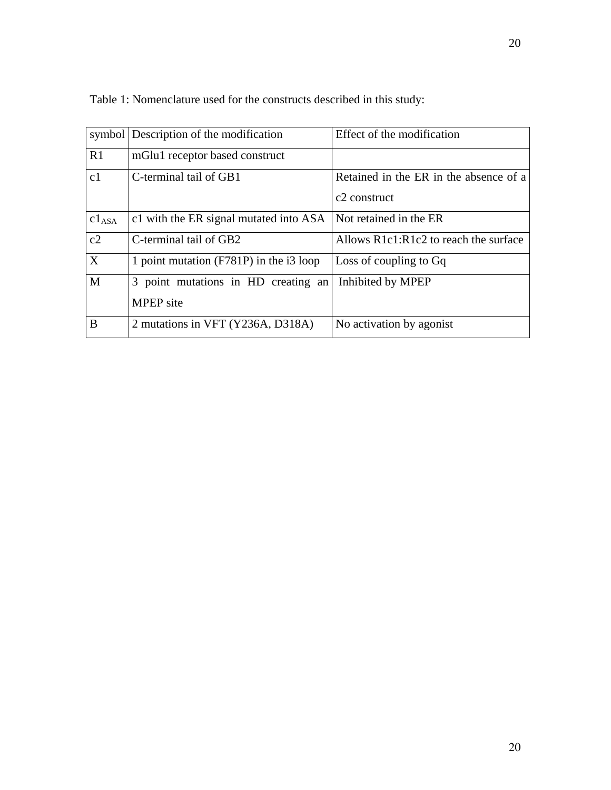|              | symbol Description of the modification    | Effect of the modification             |
|--------------|-------------------------------------------|----------------------------------------|
| R1           | mGlu1 receptor based construct            |                                        |
| c1           | C-terminal tail of GB1                    | Retained in the ER in the absence of a |
|              |                                           | c <sub>2</sub> construct               |
| $c1_{ASA}$   | c1 with the ER signal mutated into ASA    | Not retained in the ER                 |
| c2           | C-terminal tail of GB2                    | Allows R1c1:R1c2 to reach the surface  |
| $\mathbf{X}$ | 1 point mutation $(F781P)$ in the i3 loop | Loss of coupling to Gq                 |
| M            | 3 point mutations in HD creating an       | Inhibited by MPEP                      |
|              | <b>MPEP</b> site                          |                                        |
| B            | 2 mutations in VFT (Y236A, D318A)         | No activation by agonist               |

Table 1: Nomenclature used for the constructs described in this study: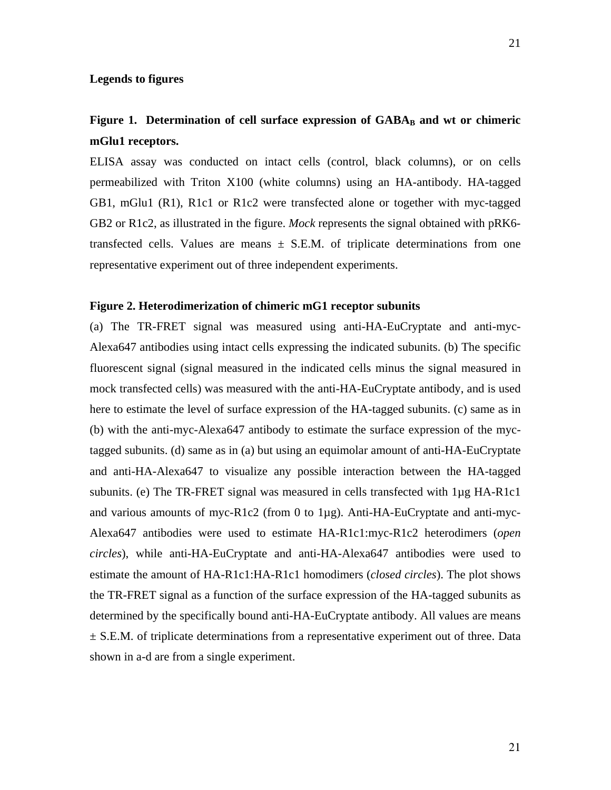#### **Legends to figures**

## Figure 1. Determination of cell surface expression of GABA<sub>B</sub> and wt or chimeric **mGlu1 receptors.**

ELISA assay was conducted on intact cells (control, black columns), or on cells permeabilized with Triton X100 (white columns) using an HA-antibody. HA-tagged GB1, mGlu1 (R1), R1c1 or R1c2 were transfected alone or together with myc-tagged GB2 or R1c2, as illustrated in the figure. *Mock* represents the signal obtained with pRK6 transfected cells. Values are means  $\pm$  S.E.M. of triplicate determinations from one representative experiment out of three independent experiments.

#### **Figure 2. Heterodimerization of chimeric mG1 receptor subunits**

(a) The TR-FRET signal was measured using anti-HA-EuCryptate and anti-myc-Alexa647 antibodies using intact cells expressing the indicated subunits. (b) The specific fluorescent signal (signal measured in the indicated cells minus the signal measured in mock transfected cells) was measured with the anti-HA-EuCryptate antibody, and is used here to estimate the level of surface expression of the HA-tagged subunits. (c) same as in (b) with the anti-myc-Alexa647 antibody to estimate the surface expression of the myctagged subunits. (d) same as in (a) but using an equimolar amount of anti-HA-EuCryptate and anti-HA-Alexa647 to visualize any possible interaction between the HA-tagged subunits. (e) The TR-FRET signal was measured in cells transfected with 1µg HA-R1c1 and various amounts of myc-R1c2 (from 0 to 1µg). Anti-HA-EuCryptate and anti-myc-Alexa647 antibodies were used to estimate HA-R1c1:myc-R1c2 heterodimers (*open circles*), while anti-HA-EuCryptate and anti-HA-Alexa647 antibodies were used to estimate the amount of HA-R1c1:HA-R1c1 homodimers (*closed circles*). The plot shows the TR-FRET signal as a function of the surface expression of the HA-tagged subunits as determined by the specifically bound anti-HA-EuCryptate antibody. All values are means  $\pm$  S.E.M. of triplicate determinations from a representative experiment out of three. Data shown in a-d are from a single experiment.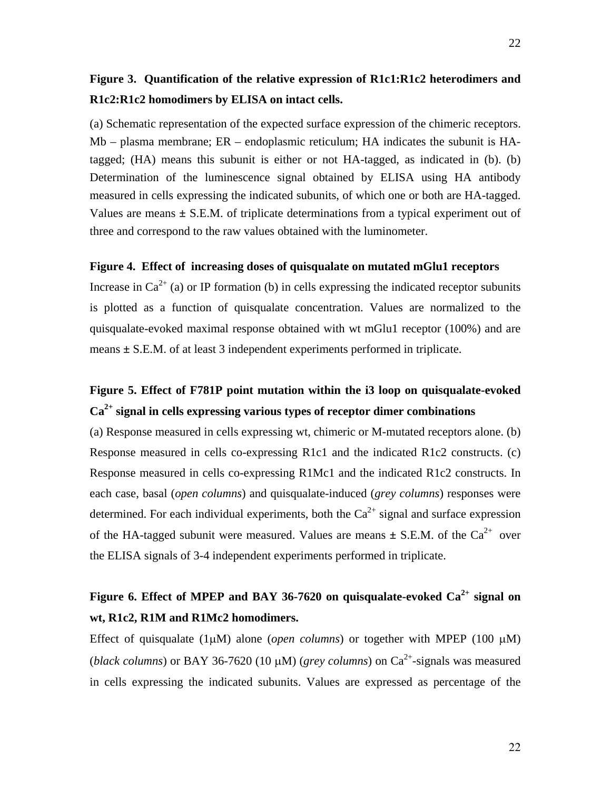### **Figure 3. Quantification of the relative expression of R1c1:R1c2 heterodimers and R1c2:R1c2 homodimers by ELISA on intact cells.**

(a) Schematic representation of the expected surface expression of the chimeric receptors. Mb – plasma membrane; ER – endoplasmic reticulum; HA indicates the subunit is HAtagged; (HA) means this subunit is either or not HA-tagged, as indicated in (b). (b) Determination of the luminescence signal obtained by ELISA using HA antibody measured in cells expressing the indicated subunits, of which one or both are HA-tagged. Values are means **±** S.E.M. of triplicate determinations from a typical experiment out of three and correspond to the raw values obtained with the luminometer.

#### **Figure 4. Effect of increasing doses of quisqualate on mutated mGlu1 receptors**

Increase in  $Ca^{2+}$  (a) or IP formation (b) in cells expressing the indicated receptor subunits is plotted as a function of quisqualate concentration. Values are normalized to the quisqualate-evoked maximal response obtained with wt mGlu1 receptor (100%) and are means **±** S.E.M. of at least 3 independent experiments performed in triplicate.

## **Figure 5. Effect of F781P point mutation within the i3 loop on quisqualate-evoked Ca2+ signal in cells expressing various types of receptor dimer combinations**

(a) Response measured in cells expressing wt, chimeric or M-mutated receptors alone. (b) Response measured in cells co-expressing R1c1 and the indicated R1c2 constructs. (c) Response measured in cells co-expressing R1Mc1 and the indicated R1c2 constructs. In each case, basal (*open columns*) and quisqualate-induced (*grey columns*) responses were determined. For each individual experiments, both the  $Ca^{2+}$  signal and surface expression of the HA-tagged subunit were measured. Values are means  $\pm$  S.E.M. of the Ca<sup>2+</sup> over the ELISA signals of 3-4 independent experiments performed in triplicate.

## **Figure 6. Effect of MPEP and BAY 36-7620 on quisqualate-evoked Ca2+ signal on wt, R1c2, R1M and R1Mc2 homodimers.**

Effect of quisqualate (1 $\mu$ M) alone (*open columns*) or together with MPEP (100  $\mu$ M) (*black columns*) or BAY 36-7620 (10  $\mu$ M) (*grey columns*) on Ca<sup>2+</sup>-signals was measured in cells expressing the indicated subunits. Values are expressed as percentage of the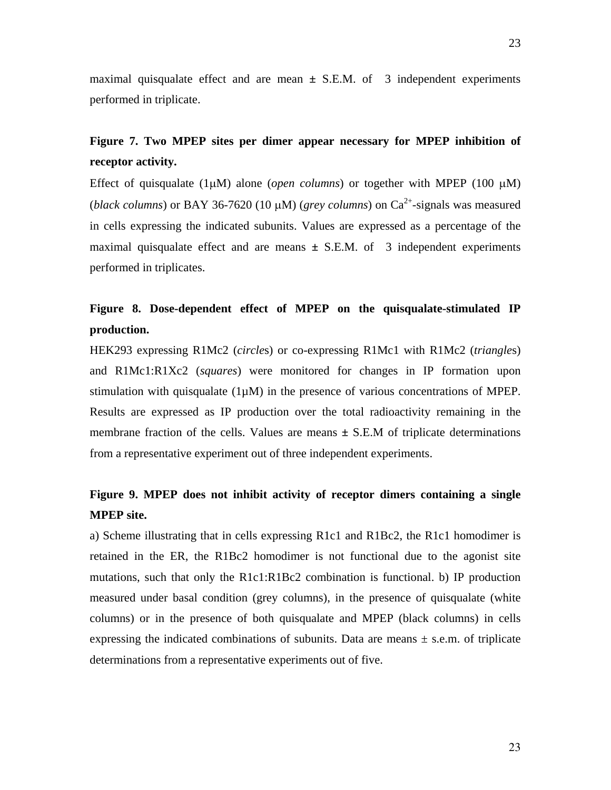maximal quisqualate effect and are mean  $\pm$  S.E.M. of 3 independent experiments performed in triplicate.

### **Figure 7. Two MPEP sites per dimer appear necessary for MPEP inhibition of receptor activity.**

Effect of quisqualate  $(1\mu M)$  alone *(open columns)* or together with MPEP  $(100 \mu M)$ (*black columns*) or BAY 36-7620 (10  $\mu$ M) (*grey columns*) on Ca<sup>2+</sup>-signals was measured in cells expressing the indicated subunits. Values are expressed as a percentage of the maximal quisqualate effect and are means  $\pm$  S.E.M. of 3 independent experiments performed in triplicates.

## **Figure 8. Dose-dependent effect of MPEP on the quisqualate-stimulated IP production.**

HEK293 expressing R1Mc2 (*circle*s) or co-expressing R1Mc1 with R1Mc2 (*triangle*s) and R1Mc1:R1Xc2 (*squares*) were monitored for changes in IP formation upon stimulation with quisqualate  $(1\mu M)$  in the presence of various concentrations of MPEP. Results are expressed as IP production over the total radioactivity remaining in the membrane fraction of the cells. Values are means  $\pm$  S.E.M of triplicate determinations from a representative experiment out of three independent experiments.

## **Figure 9. MPEP does not inhibit activity of receptor dimers containing a single MPEP site.**

a) Scheme illustrating that in cells expressing R1c1 and R1Bc2, the R1c1 homodimer is retained in the ER, the R1Bc2 homodimer is not functional due to the agonist site mutations, such that only the R1c1:R1Bc2 combination is functional. b) IP production measured under basal condition (grey columns), in the presence of quisqualate (white columns) or in the presence of both quisqualate and MPEP (black columns) in cells expressing the indicated combinations of subunits. Data are means  $\pm$  s.e.m. of triplicate determinations from a representative experiments out of five.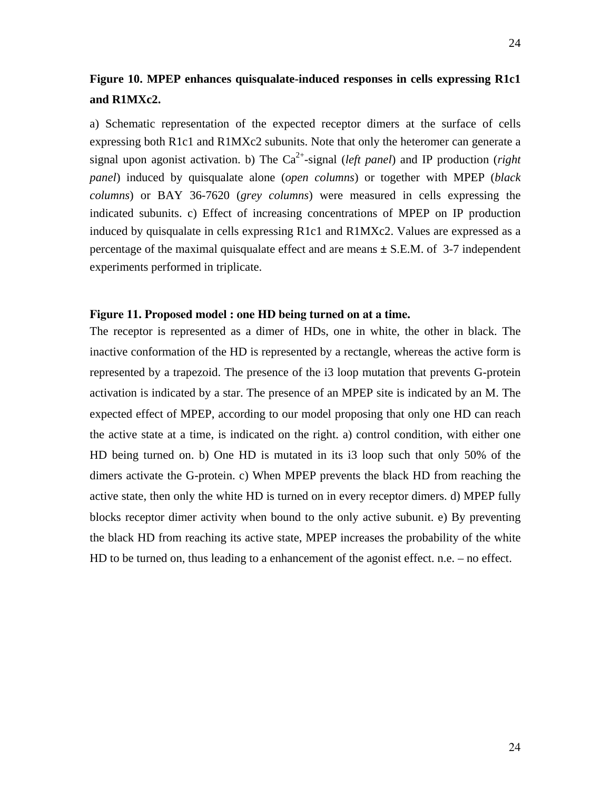## **Figure 10. MPEP enhances quisqualate-induced responses in cells expressing R1c1 and R1MXc2.**

a) Schematic representation of the expected receptor dimers at the surface of cells expressing both R1c1 and R1MXc2 subunits. Note that only the heteromer can generate a signal upon agonist activation. b) The  $Ca^{2+}$ -signal (*left panel*) and IP production (*right*) *panel*) induced by quisqualate alone (*open columns*) or together with MPEP (*black columns*) or BAY 36-7620 (*grey columns*) were measured in cells expressing the indicated subunits. c) Effect of increasing concentrations of MPEP on IP production induced by quisqualate in cells expressing R1c1 and R1MXc2. Values are expressed as a percentage of the maximal quisqualate effect and are means **±** S.E.M. of 3-7 independent experiments performed in triplicate.

#### **Figure 11. Proposed model : one HD being turned on at a time.**

The receptor is represented as a dimer of HDs, one in white, the other in black. The inactive conformation of the HD is represented by a rectangle, whereas the active form is represented by a trapezoid. The presence of the i3 loop mutation that prevents G-protein activation is indicated by a star. The presence of an MPEP site is indicated by an M. The expected effect of MPEP, according to our model proposing that only one HD can reach the active state at a time, is indicated on the right. a) control condition, with either one HD being turned on. b) One HD is mutated in its i3 loop such that only 50% of the dimers activate the G-protein. c) When MPEP prevents the black HD from reaching the active state, then only the white HD is turned on in every receptor dimers. d) MPEP fully blocks receptor dimer activity when bound to the only active subunit. e) By preventing the black HD from reaching its active state, MPEP increases the probability of the white HD to be turned on, thus leading to a enhancement of the agonist effect. n.e. – no effect.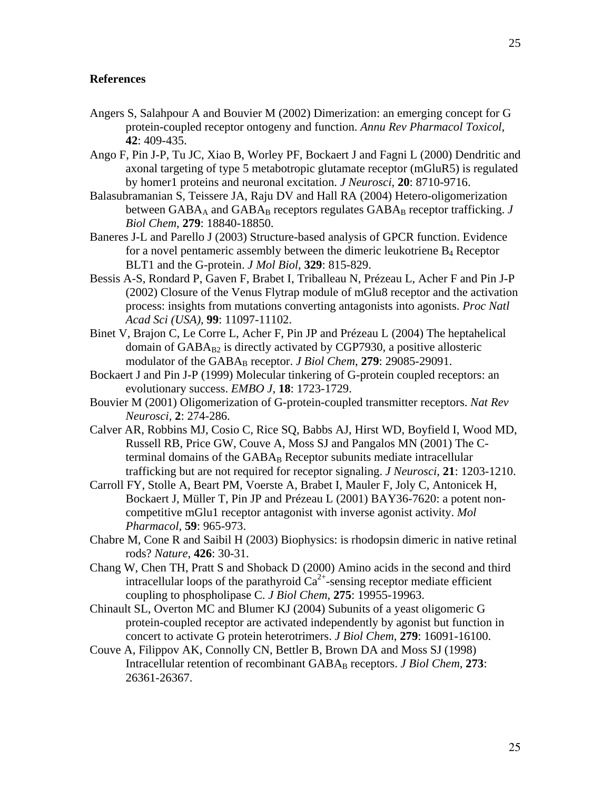#### **References**

- Angers S, Salahpour A and Bouvier M (2002) Dimerization: an emerging concept for G protein-coupled receptor ontogeny and function. *Annu Rev Pharmacol Toxicol*, **42**: 409-435.
- Ango F, Pin J-P, Tu JC, Xiao B, Worley PF, Bockaert J and Fagni L (2000) Dendritic and axonal targeting of type 5 metabotropic glutamate receptor (mGluR5) is regulated by homer1 proteins and neuronal excitation. *J Neurosci*, **20**: 8710-9716.
- Balasubramanian S, Teissere JA, Raju DV and Hall RA (2004) Hetero-oligomerization between  $GABA_A$  and  $GABA_B$  receptors regulates  $GABA_B$  receptor trafficking.  $J$ *Biol Chem*, **279**: 18840-18850.
- Baneres J-L and Parello J (2003) Structure-based analysis of GPCR function. Evidence for a novel pentameric assembly between the dimeric leukotriene  $B_4$  Receptor BLT1 and the G-protein. *J Mol Biol*, **329**: 815-829.
- Bessis A-S, Rondard P, Gaven F, Brabet I, Triballeau N, Prézeau L, Acher F and Pin J-P (2002) Closure of the Venus Flytrap module of mGlu8 receptor and the activation process: insights from mutations converting antagonists into agonists. *Proc Natl Acad Sci (USA)*, **99**: 11097-11102.
- Binet V, Brajon C, Le Corre L, Acher F, Pin JP and Prézeau L (2004) The heptahelical domain of  $GABA_{B2}$  is directly activated by CGP7930, a positive allosteric modulator of the GABA<sub>B</sub> receptor. *J Biol Chem*, 279: 29085-29091.
- Bockaert J and Pin J-P (1999) Molecular tinkering of G-protein coupled receptors: an evolutionary success. *EMBO J*, **18**: 1723-1729.
- Bouvier M (2001) Oligomerization of G-protein-coupled transmitter receptors. *Nat Rev Neurosci*, **2**: 274-286.
- Calver AR, Robbins MJ, Cosio C, Rice SQ, Babbs AJ, Hirst WD, Boyfield I, Wood MD, Russell RB, Price GW, Couve A, Moss SJ and Pangalos MN (2001) The Cterminal domains of the  $GABA_B$  Receptor subunits mediate intracellular trafficking but are not required for receptor signaling. *J Neurosci*, **21**: 1203-1210.
- Carroll FY, Stolle A, Beart PM, Voerste A, Brabet I, Mauler F, Joly C, Antonicek H, Bockaert J, Müller T, Pin JP and Prézeau L (2001) BAY36-7620: a potent noncompetitive mGlu1 receptor antagonist with inverse agonist activity. *Mol Pharmacol*, **59**: 965-973.
- Chabre M, Cone R and Saibil H (2003) Biophysics: is rhodopsin dimeric in native retinal rods? *Nature*, **426**: 30-31.
- Chang W, Chen TH, Pratt S and Shoback D (2000) Amino acids in the second and third intracellular loops of the parathyroid  $Ca^{2+}$ -sensing receptor mediate efficient coupling to phospholipase C. *J Biol Chem*, **275**: 19955-19963.
- Chinault SL, Overton MC and Blumer KJ (2004) Subunits of a yeast oligomeric G protein-coupled receptor are activated independently by agonist but function in concert to activate G protein heterotrimers. *J Biol Chem*, **279**: 16091-16100.
- Couve A, Filippov AK, Connolly CN, Bettler B, Brown DA and Moss SJ (1998) Intracellular retention of recombinant GABA<sub>B</sub> receptors. *J Biol Chem*, 273: 26361-26367.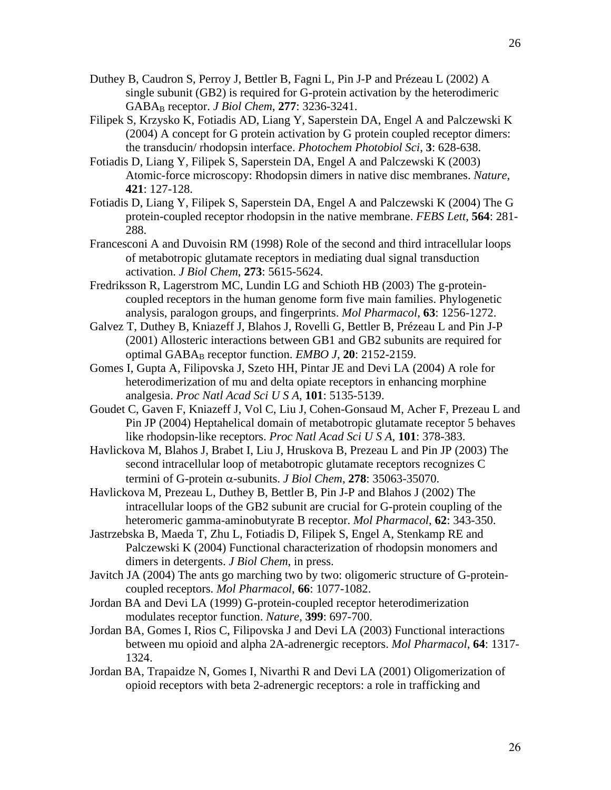- Duthey B, Caudron S, Perroy J, Bettler B, Fagni L, Pin J-P and Prézeau L (2002) A single subunit (GB2) is required for G-protein activation by the heterodimeric GABAB receptor. *J Biol Chem*, **277**: 3236-3241.
- Filipek S, Krzysko K, Fotiadis AD, Liang Y, Saperstein DA, Engel A and Palczewski K (2004) A concept for G protein activation by G protein coupled receptor dimers: the transducin/ rhodopsin interface. *Photochem Photobiol Sci*, **3**: 628-638.
- Fotiadis D, Liang Y, Filipek S, Saperstein DA, Engel A and Palczewski K (2003) Atomic-force microscopy: Rhodopsin dimers in native disc membranes. *Nature*, **421**: 127-128.
- Fotiadis D, Liang Y, Filipek S, Saperstein DA, Engel A and Palczewski K (2004) The G protein-coupled receptor rhodopsin in the native membrane. *FEBS Lett*, **564**: 281- 288.
- Francesconi A and Duvoisin RM (1998) Role of the second and third intracellular loops of metabotropic glutamate receptors in mediating dual signal transduction activation. *J Biol Chem*, **273**: 5615-5624.
- Fredriksson R, Lagerstrom MC, Lundin LG and Schioth HB (2003) The g-proteincoupled receptors in the human genome form five main families. Phylogenetic analysis, paralogon groups, and fingerprints. *Mol Pharmacol*, **63**: 1256-1272.
- Galvez T, Duthey B, Kniazeff J, Blahos J, Rovelli G, Bettler B, Prézeau L and Pin J-P (2001) Allosteric interactions between GB1 and GB2 subunits are required for optimal GABA<sub>B</sub> receptor function. *EMBO J*, **20**: 2152-2159.
- Gomes I, Gupta A, Filipovska J, Szeto HH, Pintar JE and Devi LA (2004) A role for heterodimerization of mu and delta opiate receptors in enhancing morphine analgesia. *Proc Natl Acad Sci U S A*, **101**: 5135-5139.
- Goudet C, Gaven F, Kniazeff J, Vol C, Liu J, Cohen-Gonsaud M, Acher F, Prezeau L and Pin JP (2004) Heptahelical domain of metabotropic glutamate receptor 5 behaves like rhodopsin-like receptors. *Proc Natl Acad Sci U S A*, **101**: 378-383.
- Havlickova M, Blahos J, Brabet I, Liu J, Hruskova B, Prezeau L and Pin JP (2003) The second intracellular loop of metabotropic glutamate receptors recognizes C termini of G-protein α-subunits. *J Biol Chem*, **278**: 35063-35070.
- Havlickova M, Prezeau L, Duthey B, Bettler B, Pin J-P and Blahos J (2002) The intracellular loops of the GB2 subunit are crucial for G-protein coupling of the heteromeric gamma-aminobutyrate B receptor. *Mol Pharmacol*, **62**: 343-350.
- Jastrzebska B, Maeda T, Zhu L, Fotiadis D, Filipek S, Engel A, Stenkamp RE and Palczewski K (2004) Functional characterization of rhodopsin monomers and dimers in detergents. *J Biol Chem*, in press.
- Javitch JA (2004) The ants go marching two by two: oligomeric structure of G-proteincoupled receptors. *Mol Pharmacol*, **66**: 1077-1082.
- Jordan BA and Devi LA (1999) G-protein-coupled receptor heterodimerization modulates receptor function. *Nature*, **399**: 697-700.
- Jordan BA, Gomes I, Rios C, Filipovska J and Devi LA (2003) Functional interactions between mu opioid and alpha 2A-adrenergic receptors. *Mol Pharmacol*, **64**: 1317- 1324.
- Jordan BA, Trapaidze N, Gomes I, Nivarthi R and Devi LA (2001) Oligomerization of opioid receptors with beta 2-adrenergic receptors: a role in trafficking and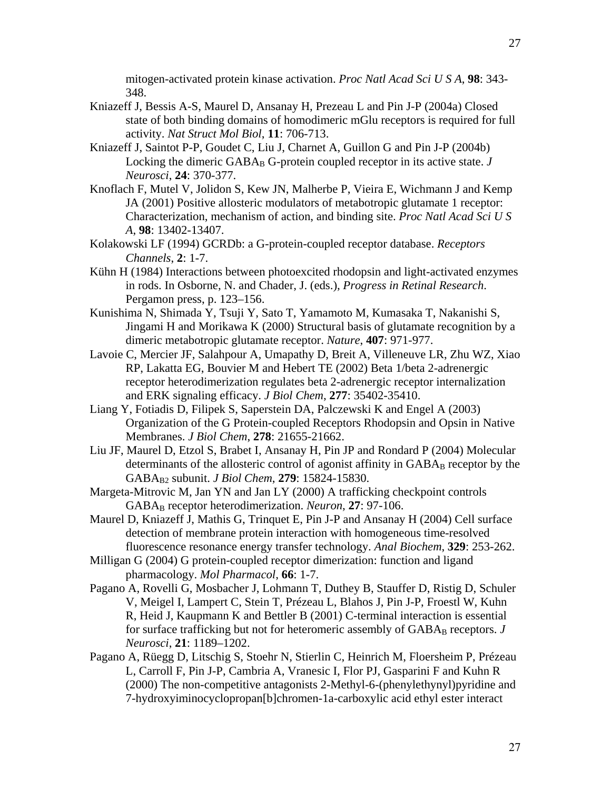mitogen-activated protein kinase activation. *Proc Natl Acad Sci U S A*, **98**: 343-

- Kniazeff J, Bessis A-S, Maurel D, Ansanay H, Prezeau L and Pin J-P (2004a) Closed state of both binding domains of homodimeric mGlu receptors is required for full activity. *Nat Struct Mol Biol*, **11**: 706-713.
- Kniazeff J, Saintot P-P, Goudet C, Liu J, Charnet A, Guillon G and Pin J-P (2004b) Locking the dimeric  $GABA_B G$ -protein coupled receptor in its active state.  $J$ *Neurosci*, **24**: 370-377.

348.

- Knoflach F, Mutel V, Jolidon S, Kew JN, Malherbe P, Vieira E, Wichmann J and Kemp JA (2001) Positive allosteric modulators of metabotropic glutamate 1 receptor: Characterization, mechanism of action, and binding site. *Proc Natl Acad Sci U S A*, **98**: 13402-13407.
- Kolakowski LF (1994) GCRDb: a G-protein-coupled receptor database. *Receptors Channels*, **2**: 1-7.
- Kühn H (1984) Interactions between photoexcited rhodopsin and light-activated enzymes in rods. In Osborne, N. and Chader, J. (eds.), *Progress in Retinal Research*. Pergamon press, p. 123–156.
- Kunishima N, Shimada Y, Tsuji Y, Sato T, Yamamoto M, Kumasaka T, Nakanishi S, Jingami H and Morikawa K (2000) Structural basis of glutamate recognition by a dimeric metabotropic glutamate receptor. *Nature*, **407**: 971-977.
- Lavoie C, Mercier JF, Salahpour A, Umapathy D, Breit A, Villeneuve LR, Zhu WZ, Xiao RP, Lakatta EG, Bouvier M and Hebert TE (2002) Beta 1/beta 2-adrenergic receptor heterodimerization regulates beta 2-adrenergic receptor internalization and ERK signaling efficacy. *J Biol Chem*, **277**: 35402-35410.
- Liang Y, Fotiadis D, Filipek S, Saperstein DA, Palczewski K and Engel A (2003) Organization of the G Protein-coupled Receptors Rhodopsin and Opsin in Native Membranes. *J Biol Chem*, **278**: 21655-21662.
- Liu JF, Maurel D, Etzol S, Brabet I, Ansanay H, Pin JP and Rondard P (2004) Molecular determinants of the allosteric control of agonist affinity in  $GABA_B$  receptor by the GABAB2 subunit. *J Biol Chem*, **279**: 15824-15830.
- Margeta-Mitrovic M, Jan YN and Jan LY (2000) A trafficking checkpoint controls GABAB receptor heterodimerization. *Neuron*, **27**: 97-106.
- Maurel D, Kniazeff J, Mathis G, Trinquet E, Pin J-P and Ansanay H (2004) Cell surface detection of membrane protein interaction with homogeneous time-resolved fluorescence resonance energy transfer technology. *Anal Biochem*, **329**: 253-262.
- Milligan G (2004) G protein-coupled receptor dimerization: function and ligand pharmacology. *Mol Pharmacol*, **66**: 1-7.
- Pagano A, Rovelli G, Mosbacher J, Lohmann T, Duthey B, Stauffer D, Ristig D, Schuler V, Meigel I, Lampert C, Stein T, Prézeau L, Blahos J, Pin J-P, Froestl W, Kuhn R, Heid J, Kaupmann K and Bettler B (2001) C-terminal interaction is essential for surface trafficking but not for heteromeric assembly of GABA<sub>B</sub> receptors. *J Neurosci*, **21**: 1189–1202.
- Pagano A, Rüegg D, Litschig S, Stoehr N, Stierlin C, Heinrich M, Floersheim P, Prézeau L, Carroll F, Pin J-P, Cambria A, Vranesic I, Flor PJ, Gasparini F and Kuhn R (2000) The non-competitive antagonists 2-Methyl-6-(phenylethynyl)pyridine and 7-hydroxyiminocyclopropan[b]chromen-1a-carboxylic acid ethyl ester interact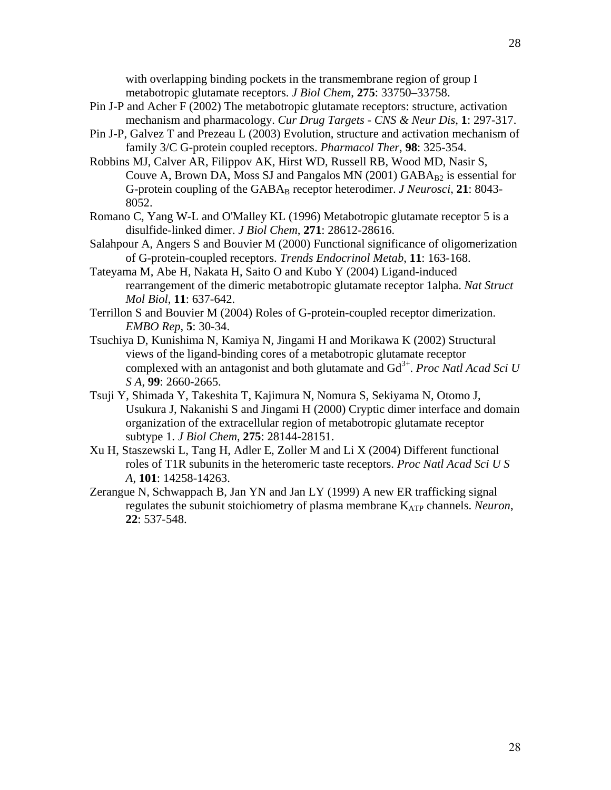- Pin J-P and Acher F (2002) The metabotropic glutamate receptors: structure, activation mechanism and pharmacology. *Cur Drug Targets - CNS & Neur Dis*, **1**: 297-317.
- Pin J-P, Galvez T and Prezeau L (2003) Evolution, structure and activation mechanism of family 3/C G-protein coupled receptors. *Pharmacol Ther*, **98**: 325-354.
- Robbins MJ, Calver AR, Filippov AK, Hirst WD, Russell RB, Wood MD, Nasir S, Couve A, Brown DA, Moss SJ and Pangalos MN (2001)  $GABA_{B2}$  is essential for G-protein coupling of the GABA<sub>B</sub> receptor heterodimer. *J Neurosci*, 21: 8043-8052.
- Romano C, Yang W-L and O'Malley KL (1996) Metabotropic glutamate receptor 5 is a disulfide-linked dimer. *J Biol Chem*, **271**: 28612-28616.
- Salahpour A, Angers S and Bouvier M (2000) Functional significance of oligomerization of G-protein-coupled receptors. *Trends Endocrinol Metab*, **11**: 163-168.
- Tateyama M, Abe H, Nakata H, Saito O and Kubo Y (2004) Ligand-induced rearrangement of the dimeric metabotropic glutamate receptor 1alpha. *Nat Struct Mol Biol*, **11**: 637-642.
- Terrillon S and Bouvier M (2004) Roles of G-protein-coupled receptor dimerization. *EMBO Rep*, **5**: 30-34.
- Tsuchiya D, Kunishima N, Kamiya N, Jingami H and Morikawa K (2002) Structural views of the ligand-binding cores of a metabotropic glutamate receptor complexed with an antagonist and both glutamate and Gd<sup>3+</sup>. *Proc Natl Acad Sci U S A*, **99**: 2660-2665.
- Tsuji Y, Shimada Y, Takeshita T, Kajimura N, Nomura S, Sekiyama N, Otomo J, Usukura J, Nakanishi S and Jingami H (2000) Cryptic dimer interface and domain organization of the extracellular region of metabotropic glutamate receptor subtype 1. *J Biol Chem*, **275**: 28144-28151.
- Xu H, Staszewski L, Tang H, Adler E, Zoller M and Li X (2004) Different functional roles of T1R subunits in the heteromeric taste receptors. *Proc Natl Acad Sci U S A*, **101**: 14258-14263.
- Zerangue N, Schwappach B, Jan YN and Jan LY (1999) A new ER trafficking signal regulates the subunit stoichiometry of plasma membrane K<sub>ATP</sub> channels. *Neuron*, **22**: 537-548.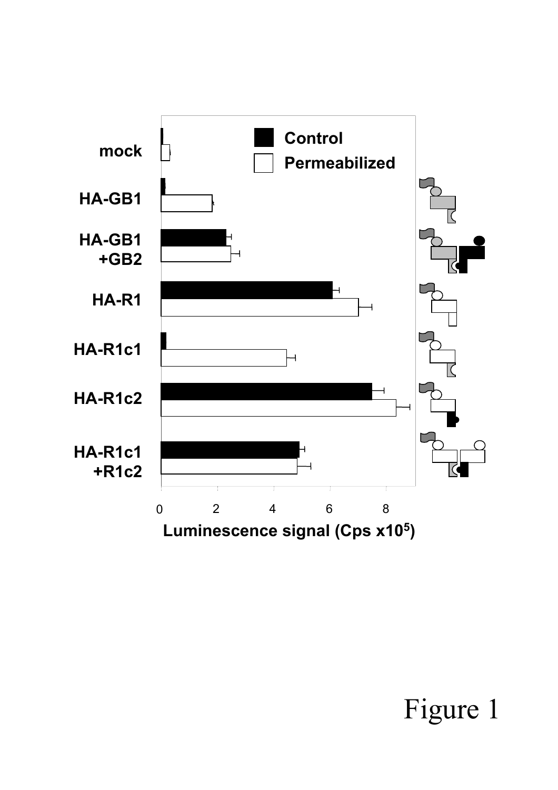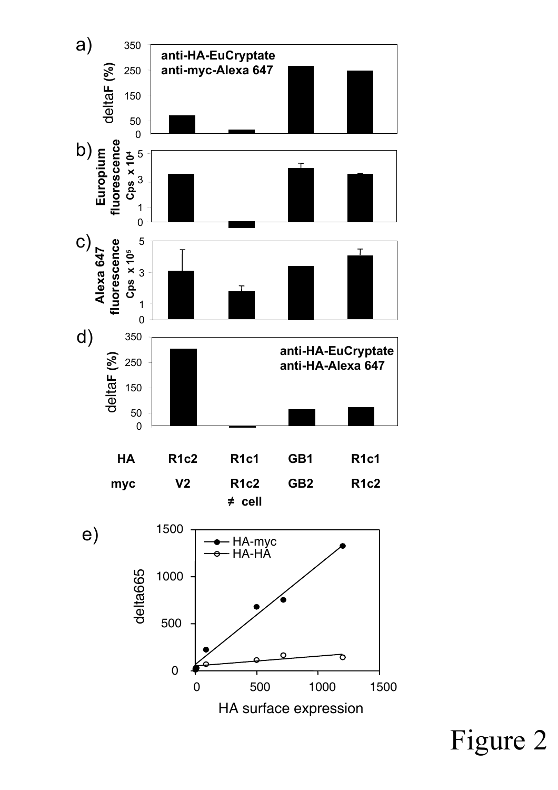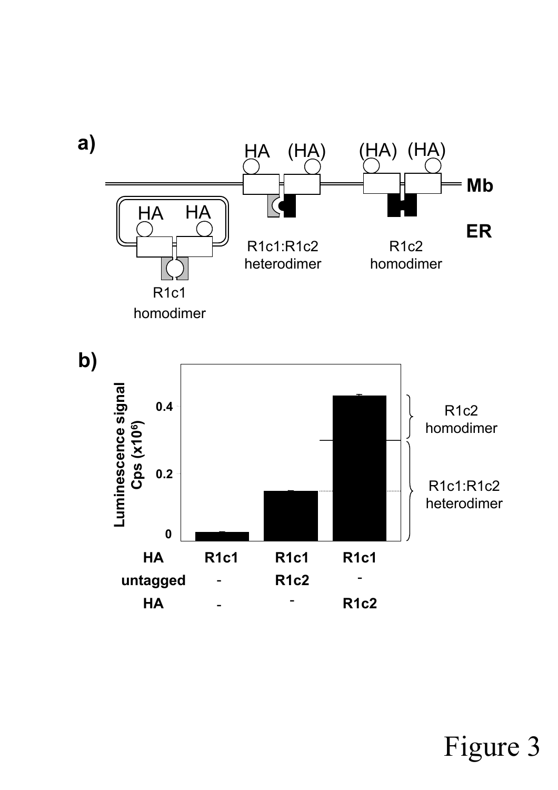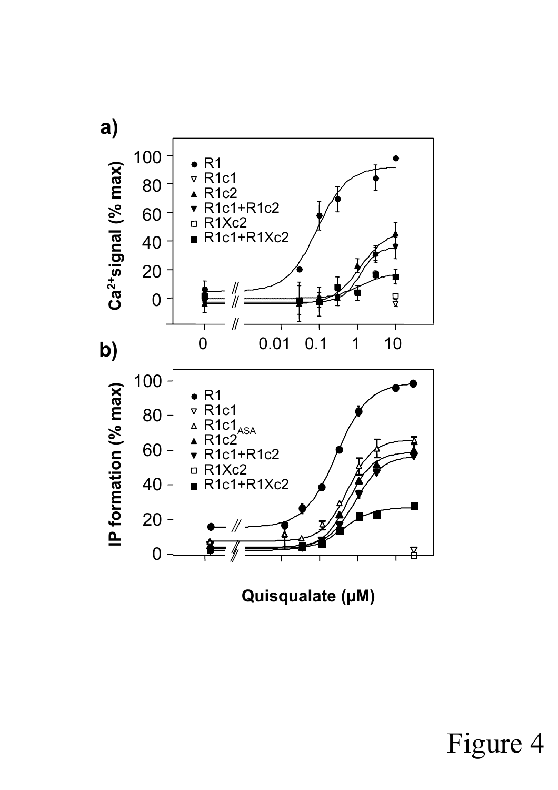

**Quisqualate (µM)**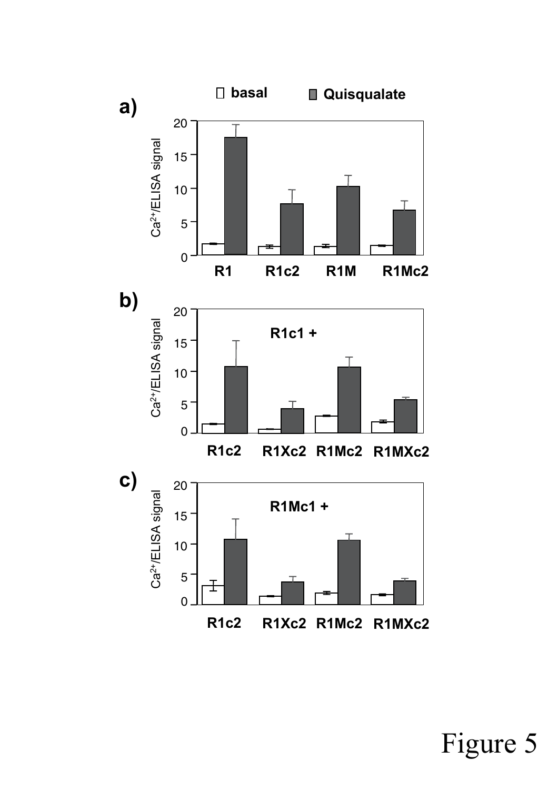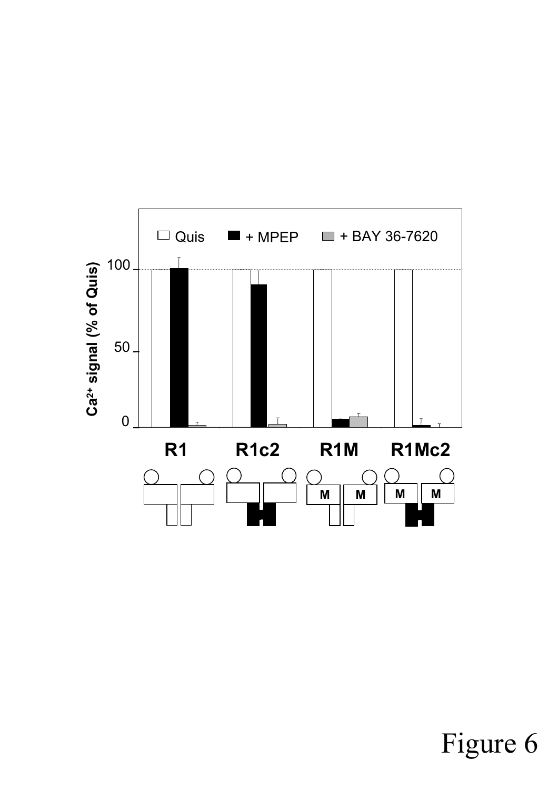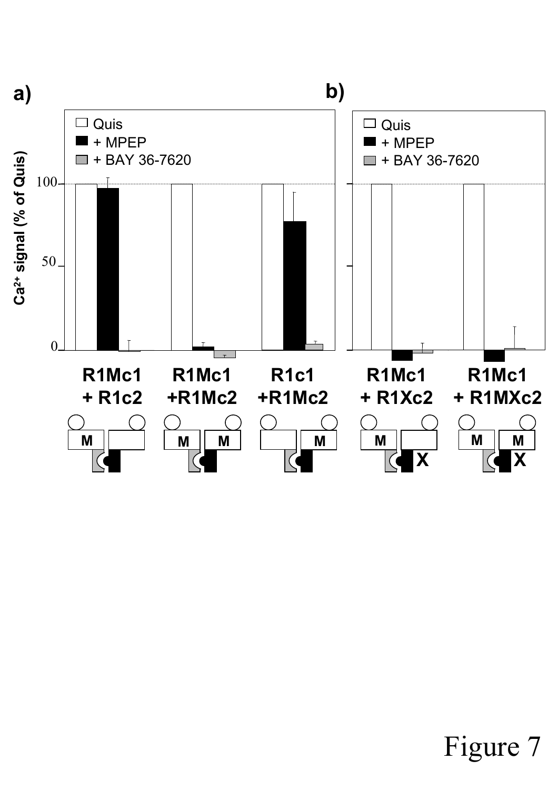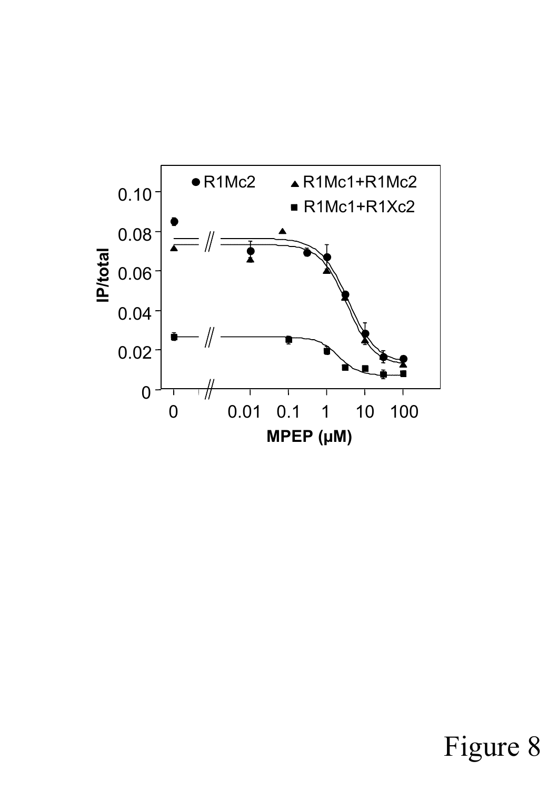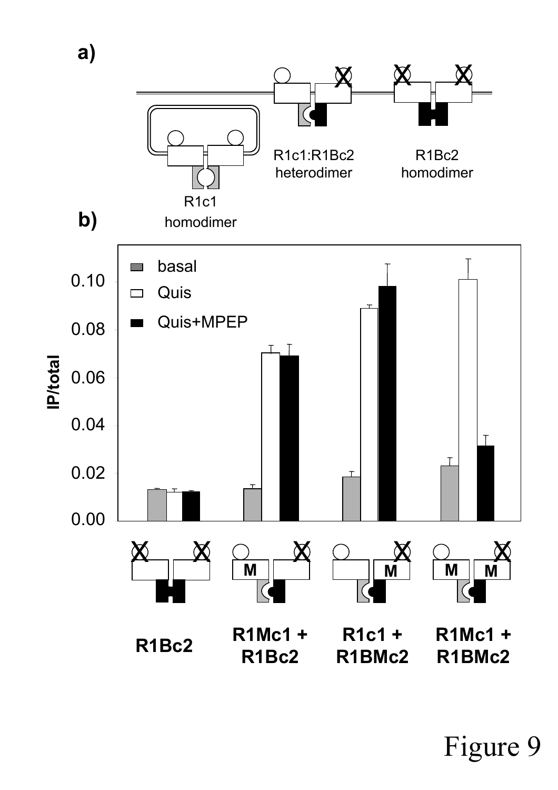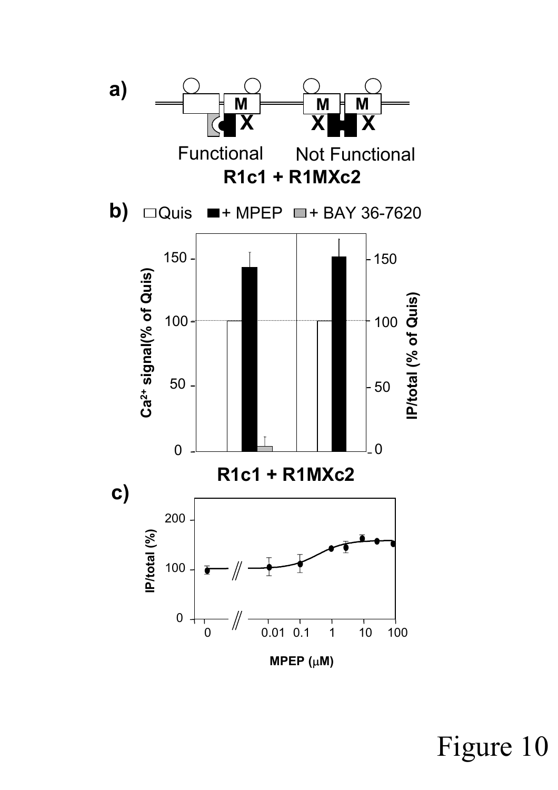